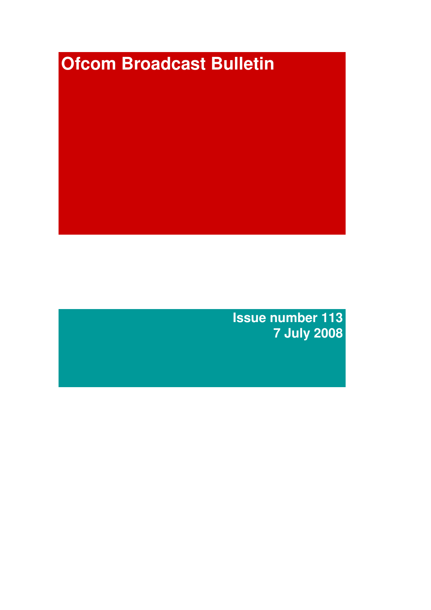# **Ofcom Broadcast Bulletin**

**Issue number 113 7 July 2008**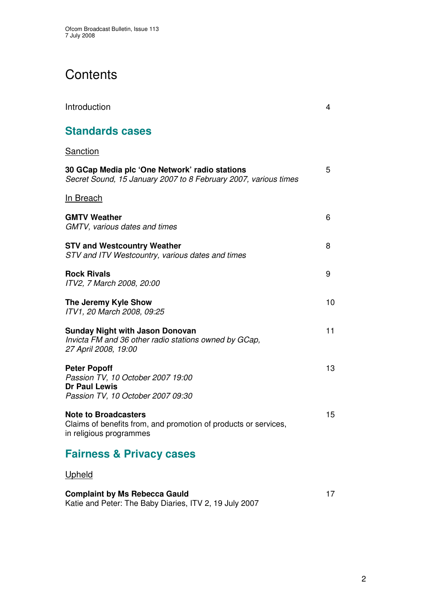# **Contents**

| Introduction                                                                                                             | 4  |
|--------------------------------------------------------------------------------------------------------------------------|----|
| <b>Standards cases</b>                                                                                                   |    |
| <u>Sanction</u>                                                                                                          |    |
| 30 GCap Media plc 'One Network' radio stations<br>Secret Sound, 15 January 2007 to 8 February 2007, various times        | 5  |
| <u>In Breach</u>                                                                                                         |    |
| <b>GMTV Weather</b><br>GMTV, various dates and times                                                                     | 6  |
| <b>STV and Westcountry Weather</b><br>STV and ITV Westcountry, various dates and times                                   | 8  |
| <b>Rock Rivals</b><br>ITV2, 7 March 2008, 20:00                                                                          | 9  |
| The Jeremy Kyle Show<br>ITV1, 20 March 2008, 09:25                                                                       | 10 |
| Sunday Night with Jason Donovan<br>Invicta FM and 36 other radio stations owned by GCap,<br>27 April 2008, 19:00         | 11 |
| <b>Peter Popoff</b><br>Passion TV, 10 October 2007 19:00<br><b>Dr Paul Lewis</b><br>Passion TV, 10 October 2007 09:30    | 13 |
| <b>Note to Broadcasters</b><br>Claims of benefits from, and promotion of products or services<br>in religious programmes | 15 |
| <b>Fairness &amp; Privacy cases</b>                                                                                      |    |
| <u>Upheld</u>                                                                                                            |    |
| <b>Complaint by Ms Rebecca Gauld</b>                                                                                     | 17 |

Katie and Peter: The Baby Diaries, ITV 2, 19 July 2007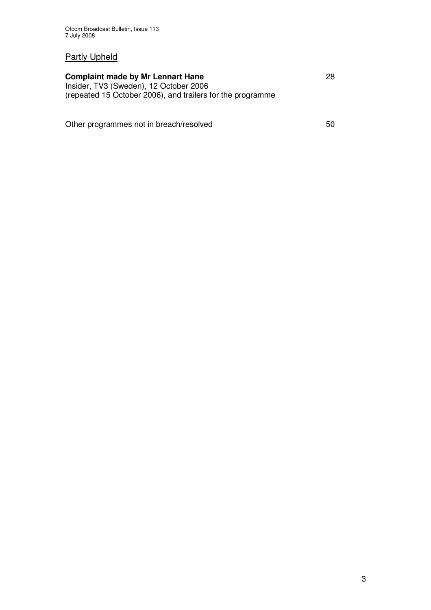#### Partly Upheld

#### **Complaint made by Mr Lennart Hane** 28 Insider, TV3 (Sweden), 12 October 2006

(repeated 15 October 2006), and trailers for the programme

Other programmes not in breach/resolved 50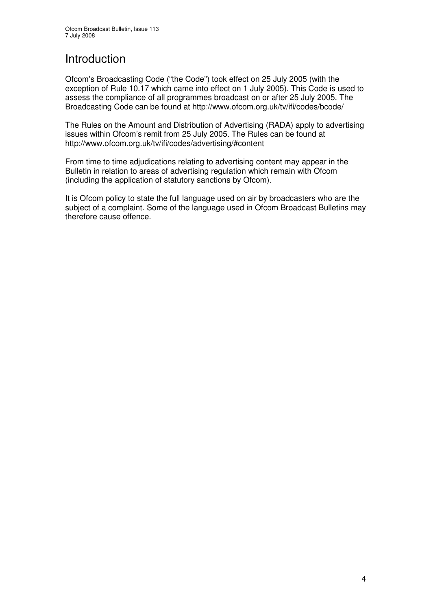## Introduction

Ofcom's Broadcasting Code ("the Code") took effect on 25 July 2005 (with the exception of Rule 10.17 which came into effect on 1 July 2005). This Code is used to assess the compliance of all programmes broadcast on or after 25 July 2005. The Broadcasting Code can be found at http://www.ofcom.org.uk/tv/ifi/codes/bcode/

The Rules on the Amount and Distribution of Advertising (RADA) apply to advertising issues within Ofcom's remit from 25 July 2005. The Rules can be found at http://www.ofcom.org.uk/tv/ifi/codes/advertising/#content

From time to time adjudications relating to advertising content may appear in the Bulletin in relation to areas of advertising regulation which remain with Ofcom (including the application of statutory sanctions by Ofcom).

It is Ofcom policy to state the full language used on air by broadcasters who are the subject of a complaint. Some of the language used in Ofcom Broadcast Bulletins may therefore cause offence.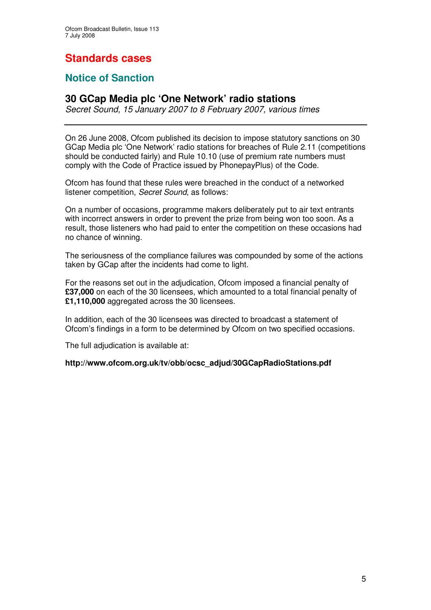# **Standards cases**

## **Notice of Sanction**

### **30 GCap Media plc 'One Network' radio stations**

*Secret Sound, 15 January 2007 to 8 February 2007, various times*

On 26 June 2008, Ofcom published its decision to impose statutory sanctions on 30 GCap Media plc 'One Network' radio stations for breaches of Rule 2.11 (competitions should be conducted fairly) and Rule 10.10 (use of premium rate numbers must comply with the Code of Practice issued by PhonepayPlus) of the Code.

Ofcom has found that these rules were breached in the conduct of a networked listener competition, *Secret Sound*, as follows:

On a number of occasions, programme makers deliberately put to air text entrants with incorrect answers in order to prevent the prize from being won too soon. As a result, those listeners who had paid to enter the competition on these occasions had no chance of winning.

The seriousness of the compliance failures was compounded by some of the actions taken by GCap after the incidents had come to light.

For the reasons set out in the adjudication, Ofcom imposed a financial penalty of **£37,000** on each of the 30 licensees, which amounted to a total financial penalty of **£1,110,000** aggregated across the 30 licensees.

In addition, each of the 30 licensees was directed to broadcast a statement of Ofcom's findings in a form to be determined by Ofcom on two specified occasions.

The full adjudication is available at:

**http://www.ofcom.org.uk/tv/obb/ocsc\_adjud/30GCapRadioStations.pdf**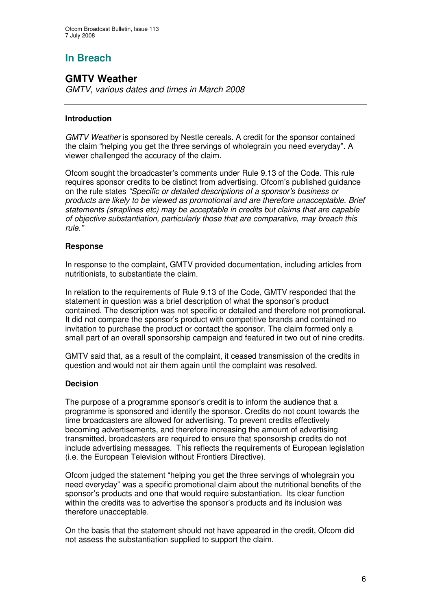## **In Breach**

## **GMTV Weather**

*GMTV, various dates and times in March 2008*

#### **Introduction**

*GMTV Weather* is sponsored by Nestle cereals. A credit for the sponsor contained the claim "helping you get the three servings of wholegrain you need everyday". A viewer challenged the accuracy of the claim.

Ofcom sought the broadcaster's comments under Rule 9.13 of the Code. This rule requires sponsor credits to be distinct from advertising. Ofcom's published guidance on the rule states *"Specific or detailed descriptions of a sponsor's business or products are likely to be viewed as promotional and are therefore unacceptable. Brief statements (straplines etc) may be acceptable in credits but claims that are capable of objective substantiation, particularly those that are comparative, may breach this rule."*

#### **Response**

In response to the complaint, GMTV provided documentation, including articles from nutritionists, to substantiate the claim.

In relation to the requirements of Rule 9.13 of the Code, GMTV responded that the statement in question was a brief description of what the sponsor's product contained. The description was not specific or detailed and therefore not promotional. It did not compare the sponsor's product with competitive brands and contained no invitation to purchase the product or contact the sponsor. The claim formed only a small part of an overall sponsorship campaign and featured in two out of nine credits.

GMTV said that, as a result of the complaint, it ceased transmission of the credits in question and would not air them again until the complaint was resolved.

#### **Decision**

The purpose of a programme sponsor's credit is to inform the audience that a programme is sponsored and identify the sponsor. Credits do not count towards the time broadcasters are allowed for advertising. To prevent credits effectively becoming advertisements, and therefore increasing the amount of advertising transmitted, broadcasters are required to ensure that sponsorship credits do not include advertising messages. This reflects the requirements of European legislation (i.e. the European Television without Frontiers Directive).

Ofcom judged the statement "helping you get the three servings of wholegrain you need everyday" was a specific promotional claim about the nutritional benefits of the sponsor's products and one that would require substantiation. Its clear function within the credits was to advertise the sponsor's products and its inclusion was therefore unacceptable.

On the basis that the statement should not have appeared in the credit, Ofcom did not assess the substantiation supplied to support the claim.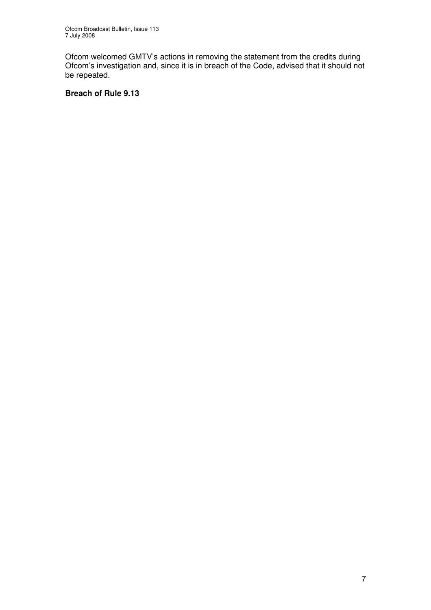Ofcom welcomed GMTV's actions in removing the statement from the credits during Ofcom's investigation and, since it is in breach of the Code, advised that it should not be repeated.

#### **Breach of Rule 9.13**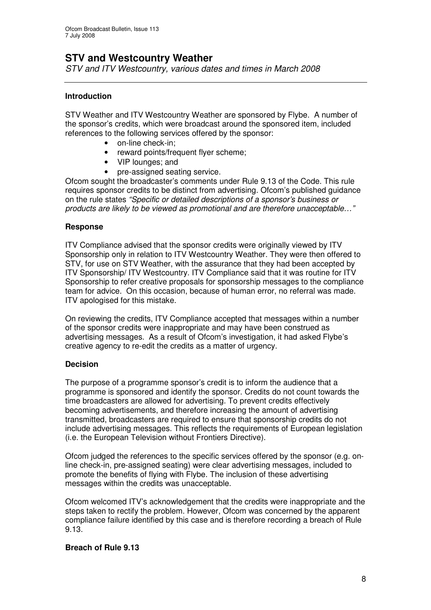## **STV and Westcountry Weather**

*STV and ITV Westcountry, various dates and times in March 2008*

#### **Introduction**

STV Weather and ITV Westcountry Weather are sponsored by Flybe. A number of the sponsor's credits, which were broadcast around the sponsored item, included references to the following services offered by the sponsor:

- on-line check-in;
- reward points/frequent flyer scheme;
- VIP lounges; and
- pre-assigned seating service.

Ofcom sought the broadcaster's comments under Rule 9.13 of the Code. This rule requires sponsor credits to be distinct from advertising. Ofcom's published guidance on the rule states *"Specific or detailed descriptions of a sponsor's business or products are likely to be viewed as promotional and are therefore unacceptable…"*

#### **Response**

ITV Compliance advised that the sponsor credits were originally viewed by ITV Sponsorship only in relation to ITV Westcountry Weather. They were then offered to STV, for use on STV Weather, with the assurance that they had been accepted by ITV Sponsorship/ ITV Westcountry. ITV Compliance said that it was routine for ITV Sponsorship to refer creative proposals for sponsorship messages to the compliance team for advice. On this occasion, because of human error, no referral was made. ITV apologised for this mistake.

On reviewing the credits, ITV Compliance accepted that messages within a number of the sponsor credits were inappropriate and may have been construed as advertising messages. As a result of Ofcom's investigation, it had asked Flybe's creative agency to re-edit the credits as a matter of urgency.

#### **Decision**

The purpose of a programme sponsor's credit is to inform the audience that a programme is sponsored and identify the sponsor. Credits do not count towards the time broadcasters are allowed for advertising. To prevent credits effectively becoming advertisements, and therefore increasing the amount of advertising transmitted, broadcasters are required to ensure that sponsorship credits do not include advertising messages. This reflects the requirements of European legislation (i.e. the European Television without Frontiers Directive).

Ofcom judged the references to the specific services offered by the sponsor (e.g. online check-in, pre-assigned seating) were clear advertising messages, included to promote the benefits of flying with Flybe. The inclusion of these advertising messages within the credits was unacceptable.

Ofcom welcomed ITV's acknowledgement that the credits were inappropriate and the steps taken to rectify the problem. However, Ofcom was concerned by the apparent compliance failure identified by this case and is therefore recording a breach of Rule 9.13.

#### **Breach of Rule 9.13**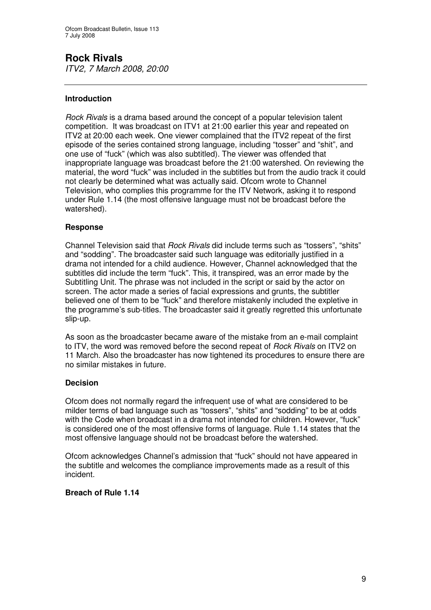## **Rock Rivals**

*ITV2, 7 March 2008, 20:00*

#### **Introduction**

*Rock Rivals* is a drama based around the concept of a popular television talent competition. It was broadcast on ITV1 at 21:00 earlier this year and repeated on ITV2 at 20:00 each week. One viewer complained that the ITV2 repeat of the first episode of the series contained strong language, including "tosser" and "shit", and one use of "fuck" (which was also subtitled). The viewer was offended that inappropriate language was broadcast before the 21:00 watershed. On reviewing the material, the word "fuck" was included in the subtitles but from the audio track it could not clearly be determined what was actually said. Ofcom wrote to Channel Television, who complies this programme for the ITV Network, asking it to respond under Rule 1.14 (the most offensive language must not be broadcast before the watershed).

#### **Response**

Channel Television said that *Rock Rivals* did include terms such as "tossers", "shits" and "sodding". The broadcaster said such language was editorially justified in a drama not intended for a child audience. However, Channel acknowledged that the subtitles did include the term "fuck". This, it transpired, was an error made by the Subtitling Unit. The phrase was not included in the script or said by the actor on screen. The actor made a series of facial expressions and grunts, the subtitler believed one of them to be "fuck" and therefore mistakenly included the expletive in the programme's sub-titles. The broadcaster said it greatly regretted this unfortunate slip-up.

As soon as the broadcaster became aware of the mistake from an e-mail complaint to ITV, the word was removed before the second repeat of *Rock Rivals* on ITV2 on 11 March. Also the broadcaster has now tightened its procedures to ensure there are no similar mistakes in future.

#### **Decision**

Ofcom does not normally regard the infrequent use of what are considered to be milder terms of bad language such as "tossers", "shits" and "sodding" to be at odds with the Code when broadcast in a drama not intended for children. However, "fuck" is considered one of the most offensive forms of language. Rule 1.14 states that the most offensive language should not be broadcast before the watershed.

Ofcom acknowledges Channel's admission that "fuck" should not have appeared in the subtitle and welcomes the compliance improvements made as a result of this incident.

#### **Breach of Rule 1.14**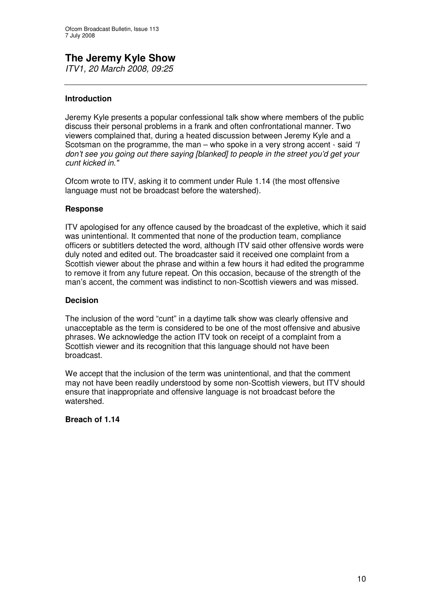#### **The Jeremy Kyle Show** *ITV1, 20 March 2008, 09:25*

#### **Introduction**

Jeremy Kyle presents a popular confessional talk show where members of the public discuss their personal problems in a frank and often confrontational manner. Two viewers complained that, during a heated discussion between Jeremy Kyle and a Scotsman on the programme, the man – who spoke in a very strong accent - said *"I don't see you going out there saying [blanked] to people in the street you'd get your cunt kicked in."*

Ofcom wrote to ITV, asking it to comment under Rule 1.14 (the most offensive language must not be broadcast before the watershed).

#### **Response**

ITV apologised for any offence caused by the broadcast of the expletive, which it said was unintentional. It commented that none of the production team, compliance officers or subtitlers detected the word, although ITV said other offensive words were duly noted and edited out. The broadcaster said it received one complaint from a Scottish viewer about the phrase and within a few hours it had edited the programme to remove it from any future repeat. On this occasion, because of the strength of the man's accent, the comment was indistinct to non-Scottish viewers and was missed.

#### **Decision**

The inclusion of the word "cunt" in a daytime talk show was clearly offensive and unacceptable as the term is considered to be one of the most offensive and abusive phrases. We acknowledge the action ITV took on receipt of a complaint from a Scottish viewer and its recognition that this language should not have been broadcast.

We accept that the inclusion of the term was unintentional, and that the comment may not have been readily understood by some non-Scottish viewers, but ITV should ensure that inappropriate and offensive language is not broadcast before the watershed.

#### **Breach of 1.14**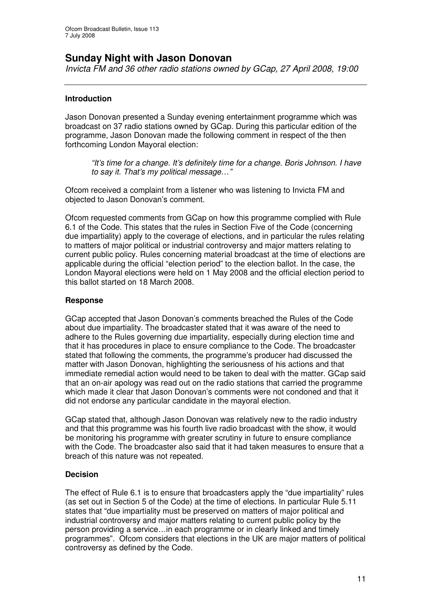## **Sunday Night with Jason Donovan**

*Invicta FM and 36 other radio stations owned by GCap, 27 April 2008, 19:00*

#### **Introduction**

Jason Donovan presented a Sunday evening entertainment programme which was broadcast on 37 radio stations owned by GCap. During this particular edition of the programme, Jason Donovan made the following comment in respect of the then forthcoming London Mayoral election:

*"It's time for a change. It's definitely time for a change. Boris Johnson. I have to say it. That's my political message…"*

Ofcom received a complaint from a listener who was listening to Invicta FM and objected to Jason Donovan's comment.

Ofcom requested comments from GCap on how this programme complied with Rule 6.1 of the Code. This states that the rules in Section Five of the Code (concerning due impartiality) apply to the coverage of elections, and in particular the rules relating to matters of major political or industrial controversy and major matters relating to current public policy. Rules concerning material broadcast at the time of elections are applicable during the official "election period" to the election ballot. In the case, the London Mayoral elections were held on 1 May 2008 and the official election period to this ballot started on 18 March 2008.

#### **Response**

GCap accepted that Jason Donovan's comments breached the Rules of the Code about due impartiality. The broadcaster stated that it was aware of the need to adhere to the Rules governing due impartiality, especially during election time and that it has procedures in place to ensure compliance to the Code. The broadcaster stated that following the comments, the programme's producer had discussed the matter with Jason Donovan, highlighting the seriousness of his actions and that immediate remedial action would need to be taken to deal with the matter. GCap said that an on-air apology was read out on the radio stations that carried the programme which made it clear that Jason Donovan's comments were not condoned and that it did not endorse any particular candidate in the mayoral election.

GCap stated that, although Jason Donovan was relatively new to the radio industry and that this programme was his fourth live radio broadcast with the show, it would be monitoring his programme with greater scrutiny in future to ensure compliance with the Code. The broadcaster also said that it had taken measures to ensure that a breach of this nature was not repeated.

#### **Decision**

The effect of Rule 6.1 is to ensure that broadcasters apply the "due impartiality" rules (as set out in Section 5 of the Code) at the time of elections. In particular Rule 5.11 states that "due impartiality must be preserved on matters of major political and industrial controversy and major matters relating to current public policy by the person providing a service…in each programme or in clearly linked and timely programmes". Ofcom considers that elections in the UK are major matters of political controversy as defined by the Code.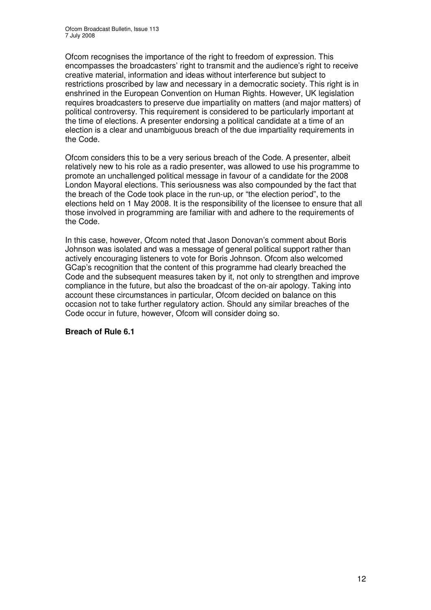Ofcom recognises the importance of the right to freedom of expression. This encompasses the broadcasters' right to transmit and the audience's right to receive creative material, information and ideas without interference but subject to restrictions proscribed by law and necessary in a democratic society. This right is in enshrined in the European Convention on Human Rights. However, UK legislation requires broadcasters to preserve due impartiality on matters (and major matters) of political controversy. This requirement is considered to be particularly important at the time of elections. A presenter endorsing a political candidate at a time of an election is a clear and unambiguous breach of the due impartiality requirements in the Code.

Ofcom considers this to be a very serious breach of the Code. A presenter, albeit relatively new to his role as a radio presenter, was allowed to use his programme to promote an unchallenged political message in favour of a candidate for the 2008 London Mayoral elections. This seriousness was also compounded by the fact that the breach of the Code took place in the run-up, or "the election period", to the elections held on 1 May 2008. It is the responsibility of the licensee to ensure that all those involved in programming are familiar with and adhere to the requirements of the Code.

In this case, however, Ofcom noted that Jason Donovan's comment about Boris Johnson was isolated and was a message of general political support rather than actively encouraging listeners to vote for Boris Johnson. Ofcom also welcomed GCap's recognition that the content of this programme had clearly breached the Code and the subsequent measures taken by it, not only to strengthen and improve compliance in the future, but also the broadcast of the on-air apology. Taking into account these circumstances in particular, Ofcom decided on balance on this occasion not to take further regulatory action. Should any similar breaches of the Code occur in future, however, Ofcom will consider doing so.

#### **Breach of Rule 6.1**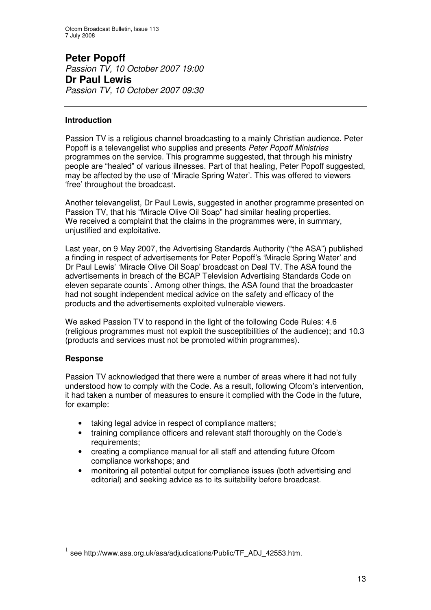**Peter Popoff** *Passion TV, 10 October 2007 19:00* **Dr Paul Lewis** *Passion TV, 10 October 2007 09:30*

#### **Introduction**

Passion TV is a religious channel broadcasting to a mainly Christian audience. Peter Popoff is a televangelist who supplies and presents *Peter Popoff Ministries* programmes on the service. This programme suggested, that through his ministry people are "healed" of various illnesses. Part of that healing, Peter Popoff suggested, may be affected by the use of 'Miracle Spring Water'. This was offered to viewers 'free' throughout the broadcast.

Another televangelist, Dr Paul Lewis, suggested in another programme presented on Passion TV, that his "Miracle Olive Oil Soap" had similar healing properties. We received a complaint that the claims in the programmes were, in summary, unjustified and exploitative.

Last year, on 9 May 2007, the Advertising Standards Authority ("the ASA") published a finding in respect of advertisements for Peter Popoff's 'Miracle Spring Water' and Dr Paul Lewis' 'Miracle Olive Oil Soap' broadcast on Deal TV. The ASA found the advertisements in breach of the BCAP Television Advertising Standards Code on eleven separate counts<sup>1</sup>. Among other things, the ASA found that the broadcaster had not sought independent medical advice on the safety and efficacy of the products and the advertisements exploited vulnerable viewers.

We asked Passion TV to respond in the light of the following Code Rules: 4.6 (religious programmes must not exploit the susceptibilities of the audience); and 10.3 (products and services must not be promoted within programmes).

#### **Response**

Passion TV acknowledged that there were a number of areas where it had not fully understood how to comply with the Code. As a result, following Ofcom's intervention, it had taken a number of measures to ensure it complied with the Code in the future, for example:

- taking legal advice in respect of compliance matters;
- training compliance officers and relevant staff thoroughly on the Code's requirements;
- creating a compliance manual for all staff and attending future Ofcom compliance workshops; and
- monitoring all potential output for compliance issues (both advertising and editorial) and seeking advice as to its suitability before broadcast.

<sup>1</sup> see http://www.asa.org.uk/asa/adjudications/Public/TF\_ADJ\_42553.htm.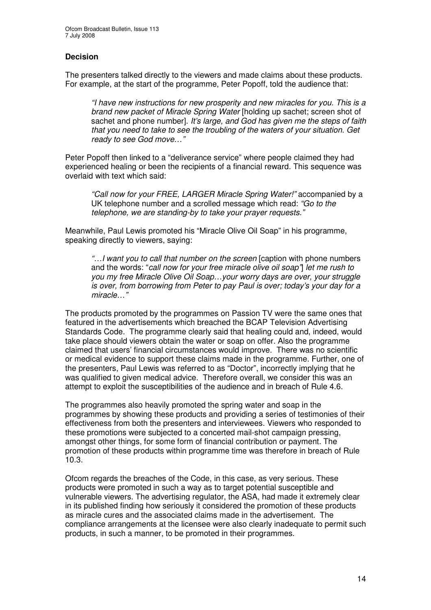#### **Decision**

The presenters talked directly to the viewers and made claims about these products. For example, at the start of the programme, Peter Popoff, told the audience that:

*"I have new instructions for new prosperity and new miracles for you. This is a brand new packet of Miracle Spring Water* [holding up sachet; screen shot of sachet and phone number]. *It's large, and God has given me the steps of faith that you need to take to see the troubling of the waters of your situation. Get ready to see God move…"*

Peter Popoff then linked to a "deliverance service" where people claimed they had experienced healing or been the recipients of a financial reward. This sequence was overlaid with text which said:

*"Call now for your FREE, LARGER Miracle Spring Water!"* accompanied by a UK telephone number and a scrolled message which read: *"Go to the telephone, we are standing-by to take your prayer requests."*

Meanwhile, Paul Lewis promoted his "Miracle Olive Oil Soap" in his programme, speaking directly to viewers, saying:

*"…I want you to call that number on the screen* [caption with phone numbers and the words: "*call now for your free miracle olive oil soap"*] *let me rush to you my free Miracle Olive Oil Soap…your worry days are over, your struggle is over, from borrowing from Peter to pay Paul is over; today's your day for a miracle…"*

The products promoted by the programmes on Passion TV were the same ones that featured in the advertisements which breached the BCAP Television Advertising Standards Code. The programme clearly said that healing could and, indeed, would take place should viewers obtain the water or soap on offer. Also the programme claimed that users' financial circumstances would improve. There was no scientific or medical evidence to support these claims made in the programme. Further, one of the presenters, Paul Lewis was referred to as "Doctor", incorrectly implying that he was qualified to given medical advice. Therefore overall, we consider this was an attempt to exploit the susceptibilities of the audience and in breach of Rule 4.6.

The programmes also heavily promoted the spring water and soap in the programmes by showing these products and providing a series of testimonies of their effectiveness from both the presenters and interviewees. Viewers who responded to these promotions were subjected to a concerted mail-shot campaign pressing, amongst other things, for some form of financial contribution or payment. The promotion of these products within programme time was therefore in breach of Rule 10.3.

Ofcom regards the breaches of the Code, in this case, as very serious. These products were promoted in such a way as to target potential susceptible and vulnerable viewers. The advertising regulator, the ASA, had made it extremely clear in its published finding how seriously it considered the promotion of these products as miracle cures and the associated claims made in the advertisement. The compliance arrangements at the licensee were also clearly inadequate to permit such products, in such a manner, to be promoted in their programmes.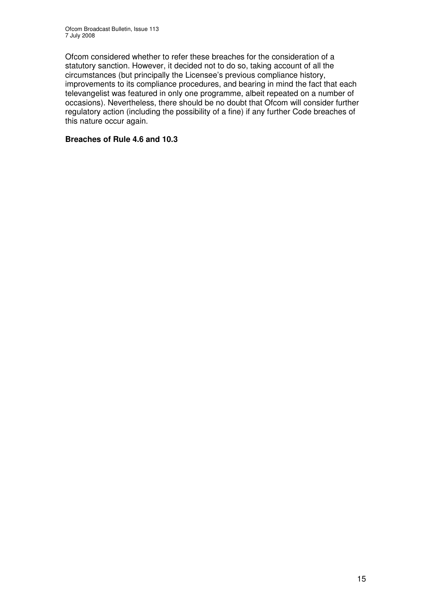Ofcom considered whether to refer these breaches for the consideration of a statutory sanction. However, it decided not to do so, taking account of all the circumstances (but principally the Licensee's previous compliance history, improvements to its compliance procedures, and bearing in mind the fact that each televangelist was featured in only one programme, albeit repeated on a number of occasions). Nevertheless, there should be no doubt that Ofcom will consider further regulatory action (including the possibility of a fine) if any further Code breaches of this nature occur again.

#### **Breaches of Rule 4.6 and 10.3**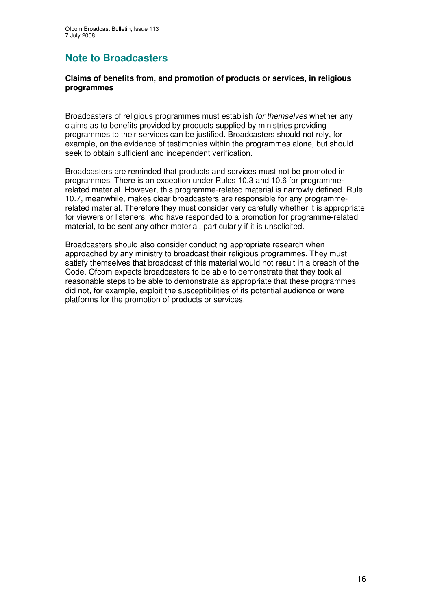## **Note to Broadcasters**

#### **Claims of benefits from, and promotion of products or services, in religious programmes**

Broadcasters of religious programmes must establish *for themselves* whether any claims as to benefits provided by products supplied by ministries providing programmes to their services can be justified. Broadcasters should not rely, for example, on the evidence of testimonies within the programmes alone, but should seek to obtain sufficient and independent verification.

Broadcasters are reminded that products and services must not be promoted in programmes. There is an exception under Rules 10.3 and 10.6 for programmerelated material. However, this programme-related material is narrowly defined. Rule 10.7, meanwhile, makes clear broadcasters are responsible for any programmerelated material. Therefore they must consider very carefully whether it is appropriate for viewers or listeners, who have responded to a promotion for programme-related material, to be sent any other material, particularly if it is unsolicited.

Broadcasters should also consider conducting appropriate research when approached by any ministry to broadcast their religious programmes. They must satisfy themselves that broadcast of this material would not result in a breach of the Code. Ofcom expects broadcasters to be able to demonstrate that they took all reasonable steps to be able to demonstrate as appropriate that these programmes did not, for example, exploit the susceptibilities of its potential audience or were platforms for the promotion of products or services.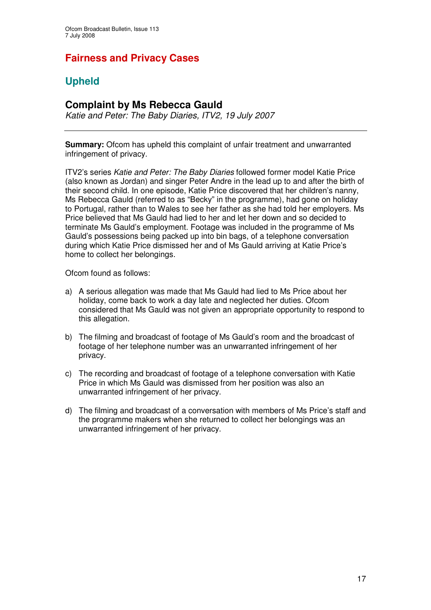## **Fairness and Privacy Cases**

## **Upheld**

## **Complaint by Ms Rebecca Gauld**

*Katie and Peter: The Baby Diaries, ITV2, 19 July 2007*

**Summary:** Ofcom has upheld this complaint of unfair treatment and unwarranted infringement of privacy.

ITV2's series *Katie and Peter: The Baby Diaries* followed former model Katie Price (also known as Jordan) and singer Peter Andre in the lead up to and after the birth of their second child. In one episode, Katie Price discovered that her children's nanny, Ms Rebecca Gauld (referred to as "Becky" in the programme), had gone on holiday to Portugal, rather than to Wales to see her father as she had told her employers. Ms Price believed that Ms Gauld had lied to her and let her down and so decided to terminate Ms Gauld's employment. Footage was included in the programme of Ms Gauld's possessions being packed up into bin bags, of a telephone conversation during which Katie Price dismissed her and of Ms Gauld arriving at Katie Price's home to collect her belongings.

Ofcom found as follows:

- a) A serious allegation was made that Ms Gauld had lied to Ms Price about her holiday, come back to work a day late and neglected her duties. Ofcom considered that Ms Gauld was not given an appropriate opportunity to respond to this allegation.
- b) The filming and broadcast of footage of Ms Gauld's room and the broadcast of footage of her telephone number was an unwarranted infringement of her privacy.
- c) The recording and broadcast of footage of a telephone conversation with Katie Price in which Ms Gauld was dismissed from her position was also an unwarranted infringement of her privacy.
- d) The filming and broadcast of a conversation with members of Ms Price's staff and the programme makers when she returned to collect her belongings was an unwarranted infringement of her privacy.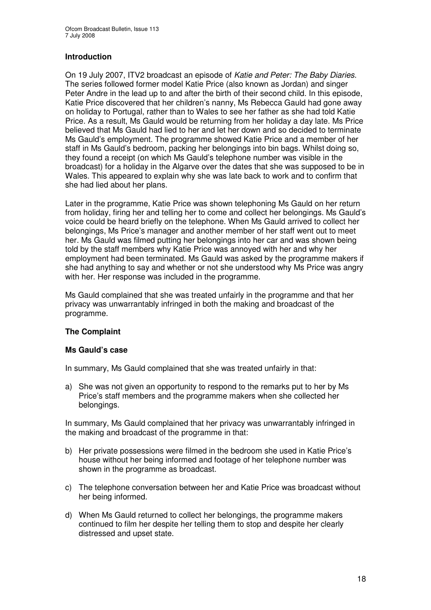#### **Introduction**

On 19 July 2007, ITV2 broadcast an episode of *Katie and Peter: The Baby Diaries*. The series followed former model Katie Price (also known as Jordan) and singer Peter Andre in the lead up to and after the birth of their second child. In this episode, Katie Price discovered that her children's nanny, Ms Rebecca Gauld had gone away on holiday to Portugal, rather than to Wales to see her father as she had told Katie Price. As a result, Ms Gauld would be returning from her holiday a day late. Ms Price believed that Ms Gauld had lied to her and let her down and so decided to terminate Ms Gauld's employment. The programme showed Katie Price and a member of her staff in Ms Gauld's bedroom, packing her belongings into bin bags. Whilst doing so, they found a receipt (on which Ms Gauld's telephone number was visible in the broadcast) for a holiday in the Algarve over the dates that she was supposed to be in Wales. This appeared to explain why she was late back to work and to confirm that she had lied about her plans.

Later in the programme, Katie Price was shown telephoning Ms Gauld on her return from holiday, firing her and telling her to come and collect her belongings. Ms Gauld's voice could be heard briefly on the telephone. When Ms Gauld arrived to collect her belongings, Ms Price's manager and another member of her staff went out to meet her. Ms Gauld was filmed putting her belongings into her car and was shown being told by the staff members why Katie Price was annoyed with her and why her employment had been terminated. Ms Gauld was asked by the programme makers if she had anything to say and whether or not she understood why Ms Price was angry with her. Her response was included in the programme.

Ms Gauld complained that she was treated unfairly in the programme and that her privacy was unwarrantably infringed in both the making and broadcast of the programme.

#### **The Complaint**

#### **Ms Gauld's case**

In summary, Ms Gauld complained that she was treated unfairly in that:

a) She was not given an opportunity to respond to the remarks put to her by Ms Price's staff members and the programme makers when she collected her belongings.

In summary, Ms Gauld complained that her privacy was unwarrantably infringed in the making and broadcast of the programme in that:

- b) Her private possessions were filmed in the bedroom she used in Katie Price's house without her being informed and footage of her telephone number was shown in the programme as broadcast.
- c) The telephone conversation between her and Katie Price was broadcast without her being informed.
- d) When Ms Gauld returned to collect her belongings, the programme makers continued to film her despite her telling them to stop and despite her clearly distressed and upset state.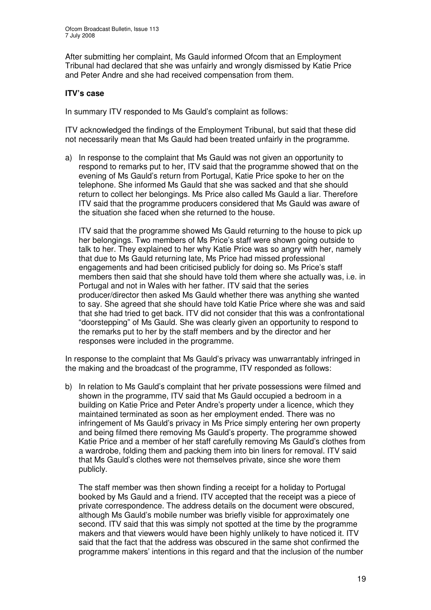After submitting her complaint, Ms Gauld informed Ofcom that an Employment Tribunal had declared that she was unfairly and wrongly dismissed by Katie Price and Peter Andre and she had received compensation from them.

#### **ITV's case**

In summary ITV responded to Ms Gauld's complaint as follows:

ITV acknowledged the findings of the Employment Tribunal, but said that these did not necessarily mean that Ms Gauld had been treated unfairly in the programme.

a) In response to the complaint that Ms Gauld was not given an opportunity to respond to remarks put to her, ITV said that the programme showed that on the evening of Ms Gauld's return from Portugal, Katie Price spoke to her on the telephone. She informed Ms Gauld that she was sacked and that she should return to collect her belongings. Ms Price also called Ms Gauld a liar. Therefore ITV said that the programme producers considered that Ms Gauld was aware of the situation she faced when she returned to the house.

ITV said that the programme showed Ms Gauld returning to the house to pick up her belongings. Two members of Ms Price's staff were shown going outside to talk to her. They explained to her why Katie Price was so angry with her, namely that due to Ms Gauld returning late, Ms Price had missed professional engagements and had been criticised publicly for doing so. Ms Price's staff members then said that she should have told them where she actually was, i.e. in Portugal and not in Wales with her father. ITV said that the series producer/director then asked Ms Gauld whether there was anything she wanted to say. She agreed that she should have told Katie Price where she was and said that she had tried to get back. ITV did not consider that this was a confrontational "doorstepping" of Ms Gauld. She was clearly given an opportunity to respond to the remarks put to her by the staff members and by the director and her responses were included in the programme.

In response to the complaint that Ms Gauld's privacy was unwarrantably infringed in the making and the broadcast of the programme, ITV responded as follows:

b) In relation to Ms Gauld's complaint that her private possessions were filmed and shown in the programme, ITV said that Ms Gauld occupied a bedroom in a building on Katie Price and Peter Andre's property under a licence, which they maintained terminated as soon as her employment ended. There was no infringement of Ms Gauld's privacy in Ms Price simply entering her own property and being filmed there removing Ms Gauld's property. The programme showed Katie Price and a member of her staff carefully removing Ms Gauld's clothes from a wardrobe, folding them and packing them into bin liners for removal. ITV said that Ms Gauld's clothes were not themselves private, since she wore them publicly.

The staff member was then shown finding a receipt for a holiday to Portugal booked by Ms Gauld and a friend. ITV accepted that the receipt was a piece of private correspondence. The address details on the document were obscured, although Ms Gauld's mobile number was briefly visible for approximately one second. ITV said that this was simply not spotted at the time by the programme makers and that viewers would have been highly unlikely to have noticed it. ITV said that the fact that the address was obscured in the same shot confirmed the programme makers' intentions in this regard and that the inclusion of the number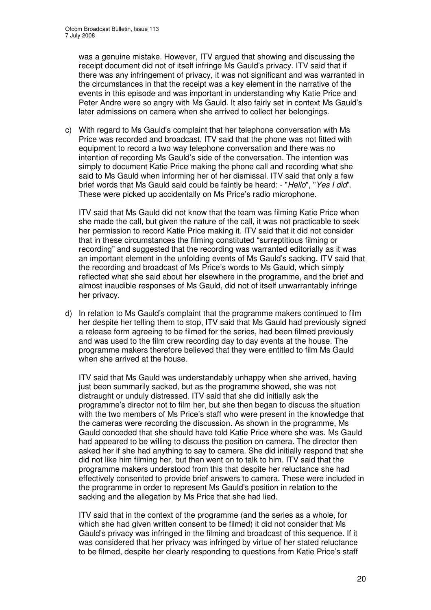was a genuine mistake. However, ITV argued that showing and discussing the receipt document did not of itself infringe Ms Gauld's privacy. ITV said that if there was any infringement of privacy, it was not significant and was warranted in the circumstances in that the receipt was a key element in the narrative of the events in this episode and was important in understanding why Katie Price and Peter Andre were so angry with Ms Gauld. It also fairly set in context Ms Gauld's later admissions on camera when she arrived to collect her belongings.

c) With regard to Ms Gauld's complaint that her telephone conversation with Ms Price was recorded and broadcast, ITV said that the phone was not fitted with equipment to record a two way telephone conversation and there was no intention of recording Ms Gauld's side of the conversation. The intention was simply to document Katie Price making the phone call and recording what she said to Ms Gauld when informing her of her dismissal. ITV said that only a few brief words that Ms Gauld said could be faintly be heard: - "*Hello*", "*Yes I did*". These were picked up accidentally on Ms Price's radio microphone.

ITV said that Ms Gauld did not know that the team was filming Katie Price when she made the call, but given the nature of the call, it was not practicable to seek her permission to record Katie Price making it. ITV said that it did not consider that in these circumstances the filming constituted "surreptitious filming or recording" and suggested that the recording was warranted editorially as it was an important element in the unfolding events of Ms Gauld's sacking. ITV said that the recording and broadcast of Ms Price's words to Ms Gauld, which simply reflected what she said about her elsewhere in the programme, and the brief and almost inaudible responses of Ms Gauld, did not of itself unwarrantably infringe her privacy.

d) In relation to Ms Gauld's complaint that the programme makers continued to film her despite her telling them to stop, ITV said that Ms Gauld had previously signed a release form agreeing to be filmed for the series, had been filmed previously and was used to the film crew recording day to day events at the house. The programme makers therefore believed that they were entitled to film Ms Gauld when she arrived at the house.

ITV said that Ms Gauld was understandably unhappy when she arrived, having just been summarily sacked, but as the programme showed, she was not distraught or unduly distressed. ITV said that she did initially ask the programme's director not to film her, but she then began to discuss the situation with the two members of Ms Price's staff who were present in the knowledge that the cameras were recording the discussion. As shown in the programme, Ms Gauld conceded that she should have told Katie Price where she was. Ms Gauld had appeared to be willing to discuss the position on camera. The director then asked her if she had anything to say to camera. She did initially respond that she did not like him filming her, but then went on to talk to him. ITV said that the programme makers understood from this that despite her reluctance she had effectively consented to provide brief answers to camera. These were included in the programme in order to represent Ms Gauld's position in relation to the sacking and the allegation by Ms Price that she had lied.

ITV said that in the context of the programme (and the series as a whole, for which she had given written consent to be filmed) it did not consider that Ms Gauld's privacy was infringed in the filming and broadcast of this sequence. If it was considered that her privacy was infringed by virtue of her stated reluctance to be filmed, despite her clearly responding to questions from Katie Price's staff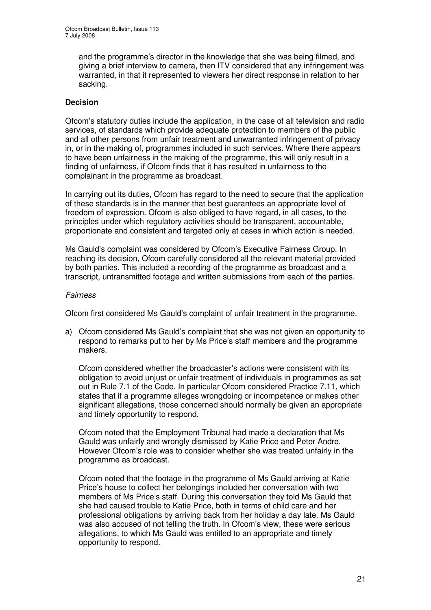and the programme's director in the knowledge that she was being filmed, and giving a brief interview to camera, then ITV considered that any infringement was warranted, in that it represented to viewers her direct response in relation to her sacking.

#### **Decision**

Ofcom's statutory duties include the application, in the case of all television and radio services, of standards which provide adequate protection to members of the public and all other persons from unfair treatment and unwarranted infringement of privacy in, or in the making of, programmes included in such services. Where there appears to have been unfairness in the making of the programme, this will only result in a finding of unfairness, if Ofcom finds that it has resulted in unfairness to the complainant in the programme as broadcast.

In carrying out its duties, Ofcom has regard to the need to secure that the application of these standards is in the manner that best guarantees an appropriate level of freedom of expression. Ofcom is also obliged to have regard, in all cases, to the principles under which regulatory activities should be transparent, accountable, proportionate and consistent and targeted only at cases in which action is needed.

Ms Gauld's complaint was considered by Ofcom's Executive Fairness Group. In reaching its decision, Ofcom carefully considered all the relevant material provided by both parties. This included a recording of the programme as broadcast and a transcript, untransmitted footage and written submissions from each of the parties.

#### *Fairness*

Ofcom first considered Ms Gauld's complaint of unfair treatment in the programme.

a) Ofcom considered Ms Gauld's complaint that she was not given an opportunity to respond to remarks put to her by Ms Price's staff members and the programme makers.

Ofcom considered whether the broadcaster's actions were consistent with its obligation to avoid unjust or unfair treatment of individuals in programmes as set out in Rule 7.1 of the Code. In particular Ofcom considered Practice 7.11, which states that if a programme alleges wrongdoing or incompetence or makes other significant allegations, those concerned should normally be given an appropriate and timely opportunity to respond.

Ofcom noted that the Employment Tribunal had made a declaration that Ms Gauld was unfairly and wrongly dismissed by Katie Price and Peter Andre. However Ofcom's role was to consider whether she was treated unfairly in the programme as broadcast.

Ofcom noted that the footage in the programme of Ms Gauld arriving at Katie Price's house to collect her belongings included her conversation with two members of Ms Price's staff. During this conversation they told Ms Gauld that she had caused trouble to Katie Price, both in terms of child care and her professional obligations by arriving back from her holiday a day late. Ms Gauld was also accused of not telling the truth. In Ofcom's view, these were serious allegations, to which Ms Gauld was entitled to an appropriate and timely opportunity to respond.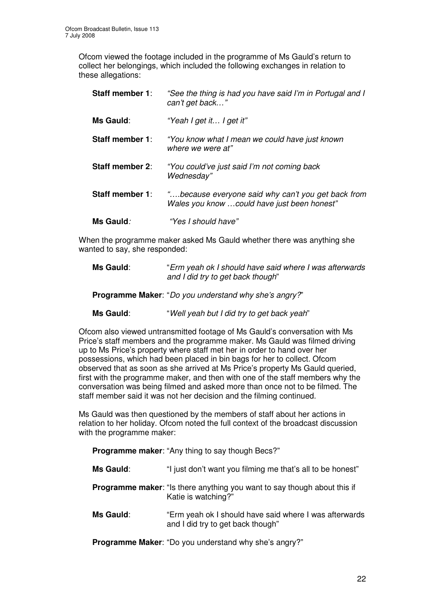Ofcom viewed the footage included in the programme of Ms Gauld's return to collect her belongings, which included the following exchanges in relation to these allegations:

| <b>Staff member 1:</b> | "See the thing is had you have said I'm in Portugal and I<br>can't get back"                      |
|------------------------|---------------------------------------------------------------------------------------------------|
| <b>Ms Gauld:</b>       | "Yeah I get it I get it"                                                                          |
| Staff member 1:        | "You know what I mean we could have just known"<br>where we were at"                              |
| <b>Staff member 2:</b> | "You could've just said I'm not coming back<br>Wednesday"                                         |
| <b>Staff member 1:</b> | "because everyone said why can't you get back from<br>Wales you know could have just been honest" |
| <b>Ms Gauld:</b>       | "Yes I should have"                                                                               |

When the programme maker asked Ms Gauld whether there was anything she wanted to say, she responded:

| Ms Gauld: | "Erm yeah ok I should have said where I was afterwards |
|-----------|--------------------------------------------------------|
|           | and I did try to get back though"                      |

**Programme Maker**: "*Do you understand why she's angry?*"

**Ms Gauld**: "*Well yeah but I did try to get back yeah*"

Ofcom also viewed untransmitted footage of Ms Gauld's conversation with Ms Price's staff members and the programme maker. Ms Gauld was filmed driving up to Ms Price's property where staff met her in order to hand over her possessions, which had been placed in bin bags for her to collect. Ofcom observed that as soon as she arrived at Ms Price's property Ms Gauld queried, first with the programme maker, and then with one of the staff members why the conversation was being filmed and asked more than once not to be filmed. The staff member said it was not her decision and the filming continued.

Ms Gauld was then questioned by the members of staff about her actions in relation to her holiday. Ofcom noted the full context of the broadcast discussion with the programme maker:

**Programme maker**: "Any thing to say though Becs?"

| Ms Gauld: | "I just don't want you filming me that's all to be honest"                                             |
|-----------|--------------------------------------------------------------------------------------------------------|
|           | <b>Programme maker:</b> "Is there anything you want to say though about this if<br>Katie is watching?" |
| Ms Gauld: | "Erm yeah ok I should have said where I was afterwards<br>and I did try to get back though"            |
|           | <b>Programme Maker:</b> "Do you understand why she's angry?"                                           |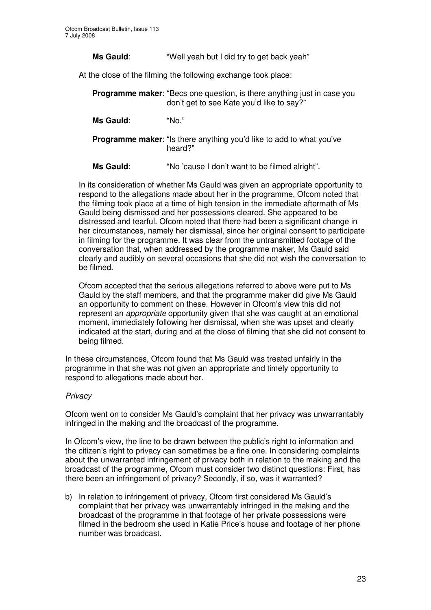**Ms Gauld**: "Well yeah but I did try to get back yeah"

At the close of the filming the following exchange took place:

**Programme maker:** "Becs one question, is there anything just in case you don't get to see Kate you'd like to say?"

**Ms Gauld**: "No."

**Programme maker:** "Is there anything you'd like to add to what you've heard?"

**Ms Gauld**: "No 'cause I don't want to be filmed alright".

In its consideration of whether Ms Gauld was given an appropriate opportunity to respond to the allegations made about her in the programme, Ofcom noted that the filming took place at a time of high tension in the immediate aftermath of Ms Gauld being dismissed and her possessions cleared. She appeared to be distressed and tearful. Ofcom noted that there had been a significant change in her circumstances, namely her dismissal, since her original consent to participate in filming for the programme. It was clear from the untransmitted footage of the conversation that, when addressed by the programme maker, Ms Gauld said clearly and audibly on several occasions that she did not wish the conversation to be filmed.

Ofcom accepted that the serious allegations referred to above were put to Ms Gauld by the staff members, and that the programme maker did give Ms Gauld an opportunity to comment on these. However in Ofcom's view this did not represent an *appropriate* opportunity given that she was caught at an emotional moment, immediately following her dismissal, when she was upset and clearly indicated at the start, during and at the close of filming that she did not consent to being filmed.

In these circumstances, Ofcom found that Ms Gauld was treated unfairly in the programme in that she was not given an appropriate and timely opportunity to respond to allegations made about her.

#### *Privacy*

Ofcom went on to consider Ms Gauld's complaint that her privacy was unwarrantably infringed in the making and the broadcast of the programme.

In Ofcom's view, the line to be drawn between the public's right to information and the citizen's right to privacy can sometimes be a fine one. In considering complaints about the unwarranted infringement of privacy both in relation to the making and the broadcast of the programme, Ofcom must consider two distinct questions: First, has there been an infringement of privacy? Secondly, if so, was it warranted?

b) In relation to infringement of privacy, Ofcom first considered Ms Gauld's complaint that her privacy was unwarrantably infringed in the making and the broadcast of the programme in that footage of her private possessions were filmed in the bedroom she used in Katie Price's house and footage of her phone number was broadcast.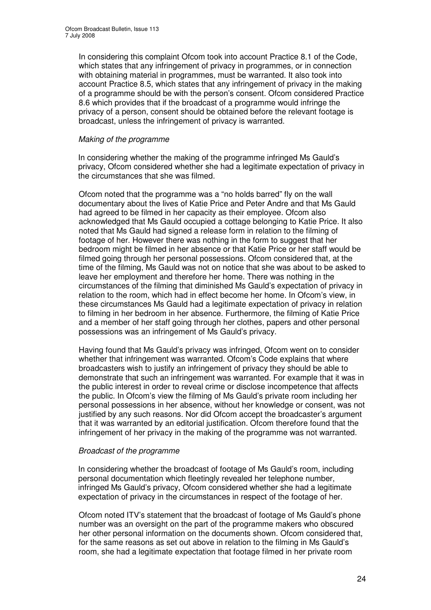In considering this complaint Ofcom took into account Practice 8.1 of the Code, which states that any infringement of privacy in programmes, or in connection with obtaining material in programmes, must be warranted. It also took into account Practice 8.5, which states that any infringement of privacy in the making of a programme should be with the person's consent. Ofcom considered Practice 8.6 which provides that if the broadcast of a programme would infringe the privacy of a person, consent should be obtained before the relevant footage is broadcast, unless the infringement of privacy is warranted.

#### *Making of the programme*

In considering whether the making of the programme infringed Ms Gauld's privacy, Ofcom considered whether she had a legitimate expectation of privacy in the circumstances that she was filmed.

Ofcom noted that the programme was a "no holds barred" fly on the wall documentary about the lives of Katie Price and Peter Andre and that Ms Gauld had agreed to be filmed in her capacity as their employee. Ofcom also acknowledged that Ms Gauld occupied a cottage belonging to Katie Price. It also noted that Ms Gauld had signed a release form in relation to the filming of footage of her. However there was nothing in the form to suggest that her bedroom might be filmed in her absence or that Katie Price or her staff would be filmed going through her personal possessions. Ofcom considered that, at the time of the filming, Ms Gauld was not on notice that she was about to be asked to leave her employment and therefore her home. There was nothing in the circumstances of the filming that diminished Ms Gauld's expectation of privacy in relation to the room, which had in effect become her home. In Ofcom's view, in these circumstances Ms Gauld had a legitimate expectation of privacy in relation to filming in her bedroom in her absence. Furthermore, the filming of Katie Price and a member of her staff going through her clothes, papers and other personal possessions was an infringement of Ms Gauld's privacy.

Having found that Ms Gauld's privacy was infringed, Ofcom went on to consider whether that infringement was warranted. Ofcom's Code explains that where broadcasters wish to justify an infringement of privacy they should be able to demonstrate that such an infringement was warranted. For example that it was in the public interest in order to reveal crime or disclose incompetence that affects the public. In Ofcom's view the filming of Ms Gauld's private room including her personal possessions in her absence, without her knowledge or consent, was not justified by any such reasons. Nor did Ofcom accept the broadcaster's argument that it was warranted by an editorial justification. Ofcom therefore found that the infringement of her privacy in the making of the programme was not warranted.

#### *Broadcast of the programme*

In considering whether the broadcast of footage of Ms Gauld's room, including personal documentation which fleetingly revealed her telephone number, infringed Ms Gauld's privacy, Ofcom considered whether she had a legitimate expectation of privacy in the circumstances in respect of the footage of her.

Ofcom noted ITV's statement that the broadcast of footage of Ms Gauld's phone number was an oversight on the part of the programme makers who obscured her other personal information on the documents shown. Ofcom considered that, for the same reasons as set out above in relation to the filming in Ms Gauld's room, she had a legitimate expectation that footage filmed in her private room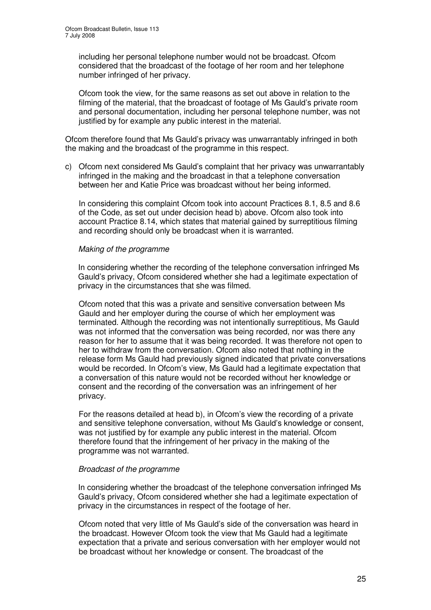including her personal telephone number would not be broadcast. Ofcom considered that the broadcast of the footage of her room and her telephone number infringed of her privacy.

Ofcom took the view, for the same reasons as set out above in relation to the filming of the material, that the broadcast of footage of Ms Gauld's private room and personal documentation, including her personal telephone number, was not justified by for example any public interest in the material.

Ofcom therefore found that Ms Gauld's privacy was unwarrantably infringed in both the making and the broadcast of the programme in this respect.

c) Ofcom next considered Ms Gauld's complaint that her privacy was unwarrantably infringed in the making and the broadcast in that a telephone conversation between her and Katie Price was broadcast without her being informed.

In considering this complaint Ofcom took into account Practices 8.1, 8.5 and 8.6 of the Code, as set out under decision head b) above. Ofcom also took into account Practice 8.14, which states that material gained by surreptitious filming and recording should only be broadcast when it is warranted.

#### *Making of the programme*

In considering whether the recording of the telephone conversation infringed Ms Gauld's privacy, Ofcom considered whether she had a legitimate expectation of privacy in the circumstances that she was filmed.

Ofcom noted that this was a private and sensitive conversation between Ms Gauld and her employer during the course of which her employment was terminated. Although the recording was not intentionally surreptitious, Ms Gauld was not informed that the conversation was being recorded, nor was there any reason for her to assume that it was being recorded. It was therefore not open to her to withdraw from the conversation. Ofcom also noted that nothing in the release form Ms Gauld had previously signed indicated that private conversations would be recorded. In Ofcom's view, Ms Gauld had a legitimate expectation that a conversation of this nature would not be recorded without her knowledge or consent and the recording of the conversation was an infringement of her privacy.

For the reasons detailed at head b), in Ofcom's view the recording of a private and sensitive telephone conversation, without Ms Gauld's knowledge or consent, was not justified by for example any public interest in the material. Ofcom therefore found that the infringement of her privacy in the making of the programme was not warranted.

#### *Broadcast of the programme*

In considering whether the broadcast of the telephone conversation infringed Ms Gauld's privacy, Ofcom considered whether she had a legitimate expectation of privacy in the circumstances in respect of the footage of her.

Ofcom noted that very little of Ms Gauld's side of the conversation was heard in the broadcast. However Ofcom took the view that Ms Gauld had a legitimate expectation that a private and serious conversation with her employer would not be broadcast without her knowledge or consent. The broadcast of the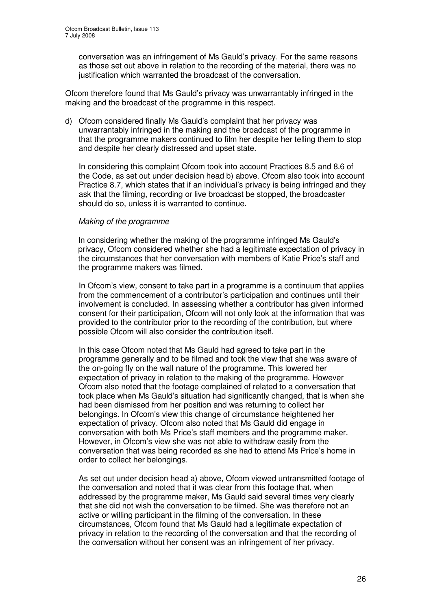conversation was an infringement of Ms Gauld's privacy. For the same reasons as those set out above in relation to the recording of the material, there was no justification which warranted the broadcast of the conversation.

Ofcom therefore found that Ms Gauld's privacy was unwarrantably infringed in the making and the broadcast of the programme in this respect.

d) Ofcom considered finally Ms Gauld's complaint that her privacy was unwarrantably infringed in the making and the broadcast of the programme in that the programme makers continued to film her despite her telling them to stop and despite her clearly distressed and upset state.

In considering this complaint Ofcom took into account Practices 8.5 and 8.6 of the Code, as set out under decision head b) above. Ofcom also took into account Practice 8.7, which states that if an individual's privacy is being infringed and they ask that the filming, recording or live broadcast be stopped, the broadcaster should do so, unless it is warranted to continue.

#### *Making of the programme*

In considering whether the making of the programme infringed Ms Gauld's privacy, Ofcom considered whether she had a legitimate expectation of privacy in the circumstances that her conversation with members of Katie Price's staff and the programme makers was filmed.

In Ofcom's view, consent to take part in a programme is a continuum that applies from the commencement of a contributor's participation and continues until their involvement is concluded. In assessing whether a contributor has given informed consent for their participation, Ofcom will not only look at the information that was provided to the contributor prior to the recording of the contribution, but where possible Ofcom will also consider the contribution itself.

In this case Ofcom noted that Ms Gauld had agreed to take part in the programme generally and to be filmed and took the view that she was aware of the on-going fly on the wall nature of the programme. This lowered her expectation of privacy in relation to the making of the programme. However Ofcom also noted that the footage complained of related to a conversation that took place when Ms Gauld's situation had significantly changed, that is when she had been dismissed from her position and was returning to collect her belongings. In Ofcom's view this change of circumstance heightened her expectation of privacy. Ofcom also noted that Ms Gauld did engage in conversation with both Ms Price's staff members and the programme maker. However, in Ofcom's view she was not able to withdraw easily from the conversation that was being recorded as she had to attend Ms Price's home in order to collect her belongings.

As set out under decision head a) above, Ofcom viewed untransmitted footage of the conversation and noted that it was clear from this footage that, when addressed by the programme maker, Ms Gauld said several times very clearly that she did not wish the conversation to be filmed. She was therefore not an active or willing participant in the filming of the conversation. In these circumstances, Ofcom found that Ms Gauld had a legitimate expectation of privacy in relation to the recording of the conversation and that the recording of the conversation without her consent was an infringement of her privacy.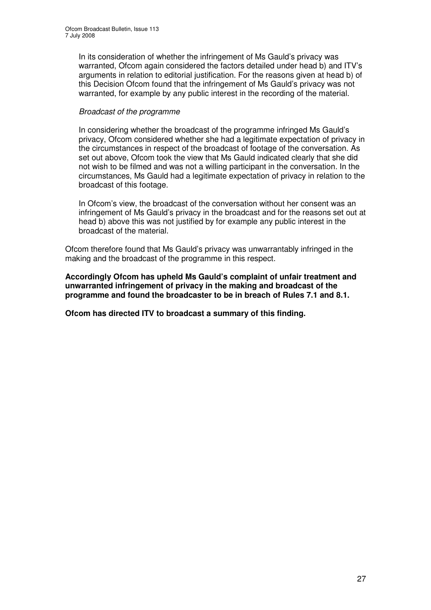In its consideration of whether the infringement of Ms Gauld's privacy was warranted, Ofcom again considered the factors detailed under head b) and ITV's arguments in relation to editorial justification. For the reasons given at head b) of this Decision Ofcom found that the infringement of Ms Gauld's privacy was not warranted, for example by any public interest in the recording of the material.

#### *Broadcast of the programme*

In considering whether the broadcast of the programme infringed Ms Gauld's privacy, Ofcom considered whether she had a legitimate expectation of privacy in the circumstances in respect of the broadcast of footage of the conversation. As set out above, Ofcom took the view that Ms Gauld indicated clearly that she did not wish to be filmed and was not a willing participant in the conversation. In the circumstances, Ms Gauld had a legitimate expectation of privacy in relation to the broadcast of this footage.

In Ofcom's view, the broadcast of the conversation without her consent was an infringement of Ms Gauld's privacy in the broadcast and for the reasons set out at head b) above this was not justified by for example any public interest in the broadcast of the material.

Ofcom therefore found that Ms Gauld's privacy was unwarrantably infringed in the making and the broadcast of the programme in this respect.

**Accordingly Ofcom has upheld Ms Gauld's complaint of unfair treatment and unwarranted infringement of privacy in the making and broadcast of the programme and found the broadcaster to be in breach of Rules 7.1 and 8.1.**

**Ofcom has directed ITV to broadcast a summary of this finding.**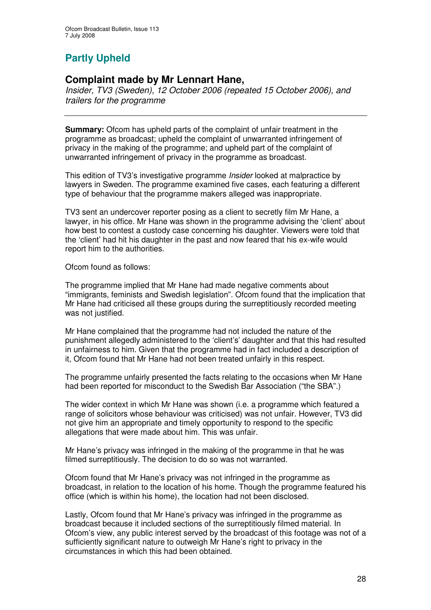# **Partly Upheld**

## **Complaint made by Mr Lennart Hane,**

*Insider, TV3 (Sweden), 12 October 2006 (repeated 15 October 2006), and trailers for the programme*

**Summary:** Ofcom has upheld parts of the complaint of unfair treatment in the programme as broadcast; upheld the complaint of unwarranted infringement of privacy in the making of the programme; and upheld part of the complaint of unwarranted infringement of privacy in the programme as broadcast.

This edition of TV3's investigative programme *Insider* looked at malpractice by lawyers in Sweden. The programme examined five cases, each featuring a different type of behaviour that the programme makers alleged was inappropriate.

TV3 sent an undercover reporter posing as a client to secretly film Mr Hane, a lawyer, in his office. Mr Hane was shown in the programme advising the 'client' about how best to contest a custody case concerning his daughter. Viewers were told that the 'client' had hit his daughter in the past and now feared that his ex-wife would report him to the authorities.

Ofcom found as follows:

The programme implied that Mr Hane had made negative comments about "immigrants, feminists and Swedish legislation". Ofcom found that the implication that Mr Hane had criticised all these groups during the surreptitiously recorded meeting was not justified.

Mr Hane complained that the programme had not included the nature of the punishment allegedly administered to the 'client's' daughter and that this had resulted in unfairness to him. Given that the programme had in fact included a description of it, Ofcom found that Mr Hane had not been treated unfairly in this respect.

The programme unfairly presented the facts relating to the occasions when Mr Hane had been reported for misconduct to the Swedish Bar Association ("the SBA".)

The wider context in which Mr Hane was shown (i.e. a programme which featured a range of solicitors whose behaviour was criticised) was not unfair. However, TV3 did not give him an appropriate and timely opportunity to respond to the specific allegations that were made about him. This was unfair.

Mr Hane's privacy was infringed in the making of the programme in that he was filmed surreptitiously. The decision to do so was not warranted.

Ofcom found that Mr Hane's privacy was not infringed in the programme as broadcast, in relation to the location of his home. Though the programme featured his office (which is within his home), the location had not been disclosed.

Lastly, Ofcom found that Mr Hane's privacy was infringed in the programme as broadcast because it included sections of the surreptitiously filmed material. In Ofcom's view, any public interest served by the broadcast of this footage was not of a sufficiently significant nature to outweigh Mr Hane's right to privacy in the circumstances in which this had been obtained.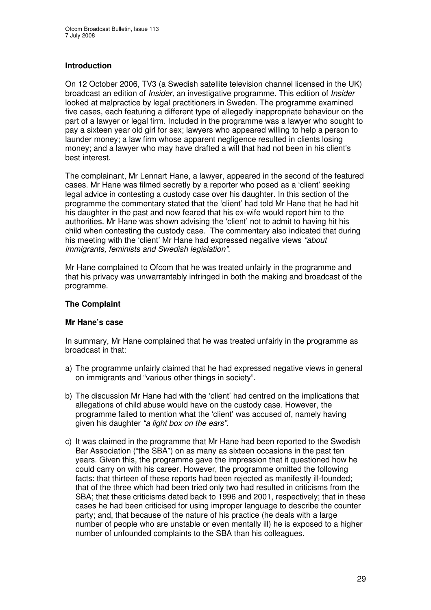#### **Introduction**

On 12 October 2006, TV3 (a Swedish satellite television channel licensed in the UK) broadcast an edition of *Insider,* an investigative programme. This edition of *Insider* looked at malpractice by legal practitioners in Sweden. The programme examined five cases, each featuring a different type of allegedly inappropriate behaviour on the part of a lawyer or legal firm. Included in the programme was a lawyer who sought to pay a sixteen year old girl for sex; lawyers who appeared willing to help a person to launder money; a law firm whose apparent negligence resulted in clients losing money; and a lawyer who may have drafted a will that had not been in his client's best interest.

The complainant, Mr Lennart Hane, a lawyer, appeared in the second of the featured cases. Mr Hane was filmed secretly by a reporter who posed as a 'client' seeking legal advice in contesting a custody case over his daughter. In this section of the programme the commentary stated that the 'client' had told Mr Hane that he had hit his daughter in the past and now feared that his ex-wife would report him to the authorities. Mr Hane was shown advising the 'client' not to admit to having hit his child when contesting the custody case. The commentary also indicated that during his meeting with the 'client' Mr Hane had expressed negative views *"about immigrants, feminists and Swedish legislation".*

Mr Hane complained to Ofcom that he was treated unfairly in the programme and that his privacy was unwarrantably infringed in both the making and broadcast of the programme.

#### **The Complaint**

#### **Mr Hane's case**

In summary, Mr Hane complained that he was treated unfairly in the programme as broadcast in that:

- a) The programme unfairly claimed that he had expressed negative views in general on immigrants and "various other things in society".
- b) The discussion Mr Hane had with the 'client' had centred on the implications that allegations of child abuse would have on the custody case. However, the programme failed to mention what the 'client' was accused of, namely having given his daughter *"a light box on the ears"*.
- c) It was claimed in the programme that Mr Hane had been reported to the Swedish Bar Association ("the SBA") on as many as sixteen occasions in the past ten years. Given this, the programme gave the impression that it questioned how he could carry on with his career. However, the programme omitted the following facts: that thirteen of these reports had been rejected as manifestly ill-founded; that of the three which had been tried only two had resulted in criticisms from the SBA; that these criticisms dated back to 1996 and 2001, respectively; that in these cases he had been criticised for using improper language to describe the counter party; and, that because of the nature of his practice (he deals with a large number of people who are unstable or even mentally ill) he is exposed to a higher number of unfounded complaints to the SBA than his colleagues.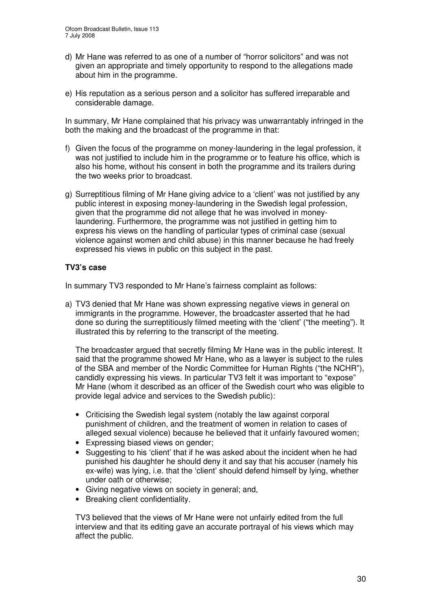- d) Mr Hane was referred to as one of a number of "horror solicitors" and was not given an appropriate and timely opportunity to respond to the allegations made about him in the programme.
- e) His reputation as a serious person and a solicitor has suffered irreparable and considerable damage.

In summary, Mr Hane complained that his privacy was unwarrantably infringed in the both the making and the broadcast of the programme in that:

- f) Given the focus of the programme on money-laundering in the legal profession, it was not justified to include him in the programme or to feature his office, which is also his home, without his consent in both the programme and its trailers during the two weeks prior to broadcast.
- g) Surreptitious filming of Mr Hane giving advice to a 'client' was not justified by any public interest in exposing money-laundering in the Swedish legal profession, given that the programme did not allege that he was involved in moneylaundering. Furthermore, the programme was not justified in getting him to express his views on the handling of particular types of criminal case (sexual violence against women and child abuse) in this manner because he had freely expressed his views in public on this subject in the past.

#### **TV3's case**

In summary TV3 responded to Mr Hane's fairness complaint as follows:

a) TV3 denied that Mr Hane was shown expressing negative views in general on immigrants in the programme. However, the broadcaster asserted that he had done so during the surreptitiously filmed meeting with the 'client' ("the meeting"). It illustrated this by referring to the transcript of the meeting.

The broadcaster argued that secretly filming Mr Hane was in the public interest. It said that the programme showed Mr Hane, who as a lawyer is subject to the rules of the SBA and member of the Nordic Committee for Human Rights ("the NCHR"), candidly expressing his views. In particular TV3 felt it was important to "expose" Mr Hane (whom it described as an officer of the Swedish court who was eligible to provide legal advice and services to the Swedish public):

- Criticising the Swedish legal system (notably the law against corporal punishment of children, and the treatment of women in relation to cases of alleged sexual violence) because he believed that it unfairly favoured women;
- Expressing biased views on gender;
- Suggesting to his 'client' that if he was asked about the incident when he had punished his daughter he should deny it and say that his accuser (namely his ex-wife) was lying, i.e. that the 'client' should defend himself by lying, whether under oath or otherwise;
- Giving negative views on society in general; and,
- Breaking client confidentiality.

TV3 believed that the views of Mr Hane were not unfairly edited from the full interview and that its editing gave an accurate portrayal of his views which may affect the public.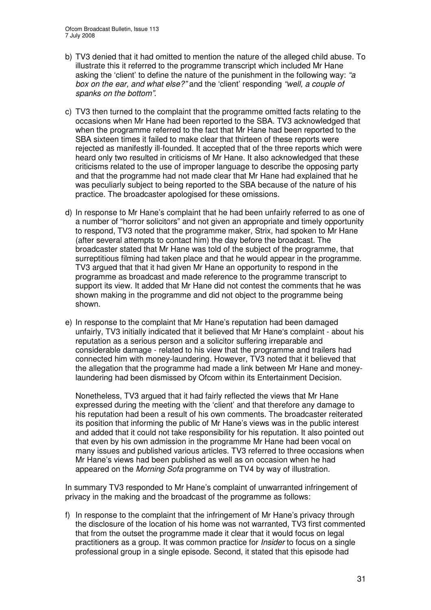- b) TV3 denied that it had omitted to mention the nature of the alleged child abuse. To illustrate this it referred to the programme transcript which included Mr Hane asking the 'client' to define the nature of the punishment in the following way: *"a box on the ear, and what else?"* and the 'client' responding *"well, a couple of spanks on the bottom"*.
- c) TV3 then turned to the complaint that the programme omitted facts relating to the occasions when Mr Hane had been reported to the SBA. TV3 acknowledged that when the programme referred to the fact that Mr Hane had been reported to the SBA sixteen times it failed to make clear that thirteen of these reports were rejected as manifestly ill-founded. It accepted that of the three reports which were heard only two resulted in criticisms of Mr Hane. It also acknowledged that these criticisms related to the use of improper language to describe the opposing party and that the programme had not made clear that Mr Hane had explained that he was peculiarly subject to being reported to the SBA because of the nature of his practice. The broadcaster apologised for these omissions.
- d) In response to Mr Hane's complaint that he had been unfairly referred to as one of a number of "horror solicitors" and not given an appropriate and timely opportunity to respond, TV3 noted that the programme maker, Strix, had spoken to Mr Hane (after several attempts to contact him) the day before the broadcast. The broadcaster stated that Mr Hane was told of the subject of the programme, that surreptitious filming had taken place and that he would appear in the programme. TV3 argued that that it had given Mr Hane an opportunity to respond in the programme as broadcast and made reference to the programme transcript to support its view. It added that Mr Hane did not contest the comments that he was shown making in the programme and did not object to the programme being shown.
- e) In response to the complaint that Mr Hane's reputation had been damaged unfairly, TV3 initially indicated that it believed that Mr Hane's complaint - about his reputation as a serious person and a solicitor suffering irreparable and considerable damage - related to his view that the programme and trailers had connected him with money-laundering. However, TV3 noted that it believed that the allegation that the programme had made a link between Mr Hane and moneylaundering had been dismissed by Ofcom within its Entertainment Decision.

Nonetheless, TV3 argued that it had fairly reflected the views that Mr Hane expressed during the meeting with the 'client' and that therefore any damage to his reputation had been a result of his own comments. The broadcaster reiterated its position that informing the public of Mr Hane's views was in the public interest and added that it could not take responsibility for his reputation. It also pointed out that even by his own admission in the programme Mr Hane had been vocal on many issues and published various articles. TV3 referred to three occasions when Mr Hane's views had been published as well as on occasion when he had appeared on the *Morning Sofa* programme on TV4 by way of illustration.

In summary TV3 responded to Mr Hane's complaint of unwarranted infringement of privacy in the making and the broadcast of the programme as follows:

f) In response to the complaint that the infringement of Mr Hane's privacy through the disclosure of the location of his home was not warranted, TV3 first commented that from the outset the programme made it clear that it would focus on legal practitioners as a group. It was common practice for *Insider* to focus on a single professional group in a single episode. Second, it stated that this episode had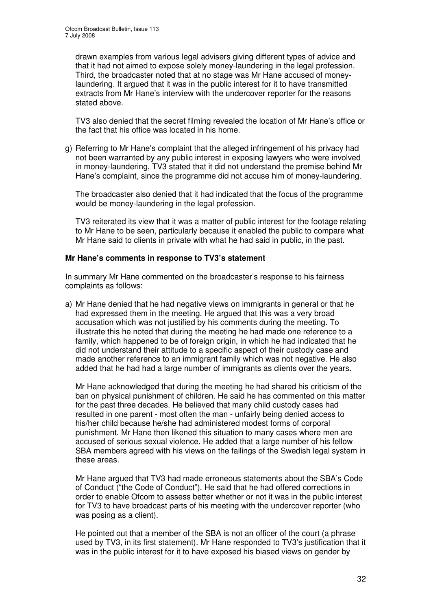drawn examples from various legal advisers giving different types of advice and that it had not aimed to expose solely money-laundering in the legal profession. Third, the broadcaster noted that at no stage was Mr Hane accused of moneylaundering. It argued that it was in the public interest for it to have transmitted extracts from Mr Hane's interview with the undercover reporter for the reasons stated above.

TV3 also denied that the secret filming revealed the location of Mr Hane's office or the fact that his office was located in his home.

g) Referring to Mr Hane's complaint that the alleged infringement of his privacy had not been warranted by any public interest in exposing lawyers who were involved in money-laundering, TV3 stated that it did not understand the premise behind Mr Hane's complaint, since the programme did not accuse him of money-laundering.

The broadcaster also denied that it had indicated that the focus of the programme would be money-laundering in the legal profession.

TV3 reiterated its view that it was a matter of public interest for the footage relating to Mr Hane to be seen, particularly because it enabled the public to compare what Mr Hane said to clients in private with what he had said in public, in the past.

#### **Mr Hane's comments in response to TV3's statement**

In summary Mr Hane commented on the broadcaster's response to his fairness complaints as follows:

a) Mr Hane denied that he had negative views on immigrants in general or that he had expressed them in the meeting. He argued that this was a very broad accusation which was not justified by his comments during the meeting. To illustrate this he noted that during the meeting he had made one reference to a family, which happened to be of foreign origin, in which he had indicated that he did not understand their attitude to a specific aspect of their custody case and made another reference to an immigrant family which was not negative. He also added that he had had a large number of immigrants as clients over the years.

Mr Hane acknowledged that during the meeting he had shared his criticism of the ban on physical punishment of children. He said he has commented on this matter for the past three decades. He believed that many child custody cases had resulted in one parent - most often the man - unfairly being denied access to his/her child because he/she had administered modest forms of corporal punishment. Mr Hane then likened this situation to many cases where men are accused of serious sexual violence. He added that a large number of his fellow SBA members agreed with his views on the failings of the Swedish legal system in these areas.

Mr Hane argued that TV3 had made erroneous statements about the SBA's Code of Conduct ("the Code of Conduct"). He said that he had offered corrections in order to enable Ofcom to assess better whether or not it was in the public interest for TV3 to have broadcast parts of his meeting with the undercover reporter (who was posing as a client).

He pointed out that a member of the SBA is not an officer of the court (a phrase used by TV3, in its first statement). Mr Hane responded to TV3's justification that it was in the public interest for it to have exposed his biased views on gender by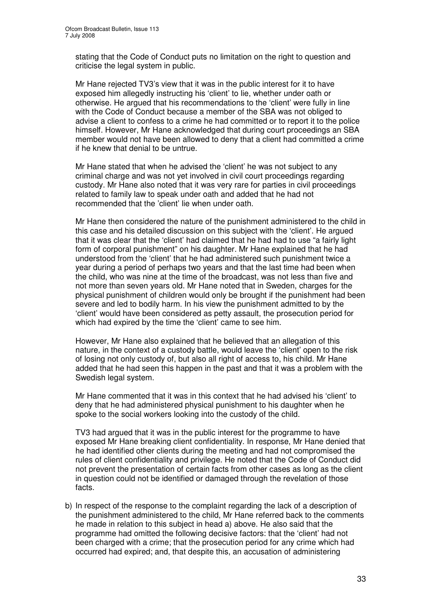stating that the Code of Conduct puts no limitation on the right to question and criticise the legal system in public.

Mr Hane rejected TV3's view that it was in the public interest for it to have exposed him allegedly instructing his 'client' to lie, whether under oath or otherwise. He argued that his recommendations to the 'client' were fully in line with the Code of Conduct because a member of the SBA was not obliged to advise a client to confess to a crime he had committed or to report it to the police himself. However, Mr Hane acknowledged that during court proceedings an SBA member would not have been allowed to deny that a client had committed a crime if he knew that denial to be untrue.

Mr Hane stated that when he advised the 'client' he was not subject to any criminal charge and was not yet involved in civil court proceedings regarding custody. Mr Hane also noted that it was very rare for parties in civil proceedings related to family law to speak under oath and added that he had not recommended that the 'client' lie when under oath.

Mr Hane then considered the nature of the punishment administered to the child in this case and his detailed discussion on this subject with the 'client'. He argued that it was clear that the 'client' had claimed that he had had to use "a fairly light form of corporal punishment" on his daughter. Mr Hane explained that he had understood from the 'client' that he had administered such punishment twice a year during a period of perhaps two years and that the last time had been when the child, who was nine at the time of the broadcast, was not less than five and not more than seven years old. Mr Hane noted that in Sweden, charges for the physical punishment of children would only be brought if the punishment had been severe and led to bodily harm. In his view the punishment admitted to by the 'client' would have been considered as petty assault, the prosecution period for which had expired by the time the 'client' came to see him.

However, Mr Hane also explained that he believed that an allegation of this nature, in the context of a custody battle, would leave the 'client' open to the risk of losing not only custody of, but also all right of access to, his child. Mr Hane added that he had seen this happen in the past and that it was a problem with the Swedish legal system.

Mr Hane commented that it was in this context that he had advised his 'client' to deny that he had administered physical punishment to his daughter when he spoke to the social workers looking into the custody of the child.

TV3 had argued that it was in the public interest for the programme to have exposed Mr Hane breaking client confidentiality. In response, Mr Hane denied that he had identified other clients during the meeting and had not compromised the rules of client confidentiality and privilege. He noted that the Code of Conduct did not prevent the presentation of certain facts from other cases as long as the client in question could not be identified or damaged through the revelation of those facts.

b) In respect of the response to the complaint regarding the lack of a description of the punishment administered to the child, Mr Hane referred back to the comments he made in relation to this subject in head a) above. He also said that the programme had omitted the following decisive factors: that the 'client' had not been charged with a crime; that the prosecution period for any crime which had occurred had expired; and, that despite this, an accusation of administering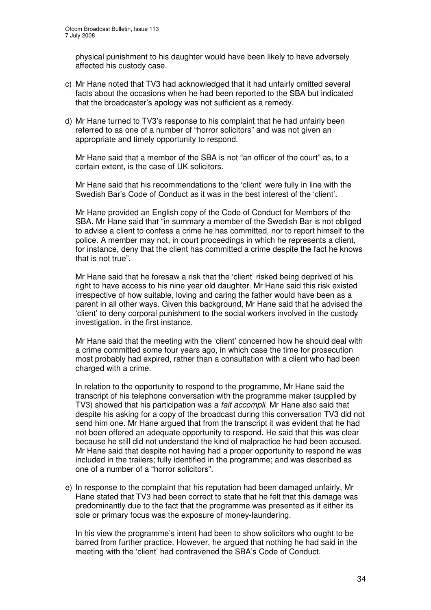physical punishment to his daughter would have been likely to have adversely affected his custody case.

- c) Mr Hane noted that TV3 had acknowledged that it had unfairly omitted several facts about the occasions when he had been reported to the SBA but indicated that the broadcaster's apology was not sufficient as a remedy.
- d) Mr Hane turned to TV3's response to his complaint that he had unfairly been referred to as one of a number of "horror solicitors" and was not given an appropriate and timely opportunity to respond.

Mr Hane said that a member of the SBA is not "an officer of the court" as, to a certain extent, is the case of UK solicitors.

Mr Hane said that his recommendations to the 'client' were fully in line with the Swedish Bar's Code of Conduct as it was in the best interest of the 'client'.

Mr Hane provided an English copy of the Code of Conduct for Members of the SBA. Mr Hane said that "in summary a member of the Swedish Bar is not obliged to advise a client to confess a crime he has committed, nor to report himself to the police. A member may not, in court proceedings in which he represents a client, for instance, deny that the client has committed a crime despite the fact he knows that is not true".

Mr Hane said that he foresaw a risk that the 'client' risked being deprived of his right to have access to his nine year old daughter. Mr Hane said this risk existed irrespective of how suitable, loving and caring the father would have been as a parent in all other ways. Given this background, Mr Hane said that he advised the 'client' to deny corporal punishment to the social workers involved in the custody investigation, in the first instance.

Mr Hane said that the meeting with the 'client' concerned how he should deal with a crime committed some four years ago, in which case the time for prosecution most probably had expired, rather than a consultation with a client who had been charged with a crime.

In relation to the opportunity to respond to the programme, Mr Hane said the transcript of his telephone conversation with the programme maker (supplied by TV3) showed that his participation was a *fait accompli*. Mr Hane also said that despite his asking for a copy of the broadcast during this conversation TV3 did not send him one. Mr Hane argued that from the transcript it was evident that he had not been offered an adequate opportunity to respond. He said that this was clear because he still did not understand the kind of malpractice he had been accused. Mr Hane said that despite not having had a proper opportunity to respond he was included in the trailers; fully identified in the programme; and was described as one of a number of a "horror solicitors".

e) In response to the complaint that his reputation had been damaged unfairly, Mr Hane stated that TV3 had been correct to state that he felt that this damage was predominantly due to the fact that the programme was presented as if either its sole or primary focus was the exposure of money-laundering.

In his view the programme's intent had been to show solicitors who ought to be barred from further practice. However, he argued that nothing he had said in the meeting with the 'client' had contravened the SBA's Code of Conduct.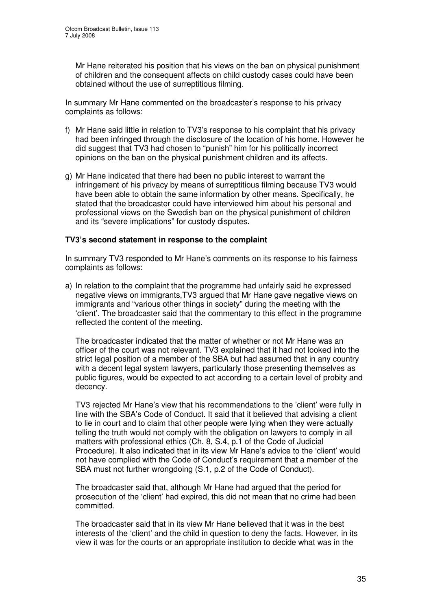Mr Hane reiterated his position that his views on the ban on physical punishment of children and the consequent affects on child custody cases could have been obtained without the use of surreptitious filming.

In summary Mr Hane commented on the broadcaster's response to his privacy complaints as follows:

- f) Mr Hane said little in relation to TV3's response to his complaint that his privacy had been infringed through the disclosure of the location of his home. However he did suggest that TV3 had chosen to "punish" him for his politically incorrect opinions on the ban on the physical punishment children and its affects.
- g) Mr Hane indicated that there had been no public interest to warrant the infringement of his privacy by means of surreptitious filming because TV3 would have been able to obtain the same information by other means. Specifically, he stated that the broadcaster could have interviewed him about his personal and professional views on the Swedish ban on the physical punishment of children and its "severe implications" for custody disputes.

#### **TV3's second statement in response to the complaint**

In summary TV3 responded to Mr Hane's comments on its response to his fairness complaints as follows:

a) In relation to the complaint that the programme had unfairly said he expressed negative views on immigrants,TV3 argued that Mr Hane gave negative views on immigrants and "various other things in society" during the meeting with the 'client'. The broadcaster said that the commentary to this effect in the programme reflected the content of the meeting.

The broadcaster indicated that the matter of whether or not Mr Hane was an officer of the court was not relevant. TV3 explained that it had not looked into the strict legal position of a member of the SBA but had assumed that in any country with a decent legal system lawyers, particularly those presenting themselves as public figures, would be expected to act according to a certain level of probity and decency.

TV3 rejected Mr Hane's view that his recommendations to the 'client' were fully in line with the SBA's Code of Conduct. It said that it believed that advising a client to lie in court and to claim that other people were lying when they were actually telling the truth would not comply with the obligation on lawyers to comply in all matters with professional ethics (Ch. 8, S.4, p.1 of the Code of Judicial Procedure). It also indicated that in its view Mr Hane's advice to the 'client' would not have complied with the Code of Conduct's requirement that a member of the SBA must not further wrongdoing (S.1, p.2 of the Code of Conduct).

The broadcaster said that, although Mr Hane had argued that the period for prosecution of the 'client' had expired, this did not mean that no crime had been committed.

The broadcaster said that in its view Mr Hane believed that it was in the best interests of the 'client' and the child in question to deny the facts. However, in its view it was for the courts or an appropriate institution to decide what was in the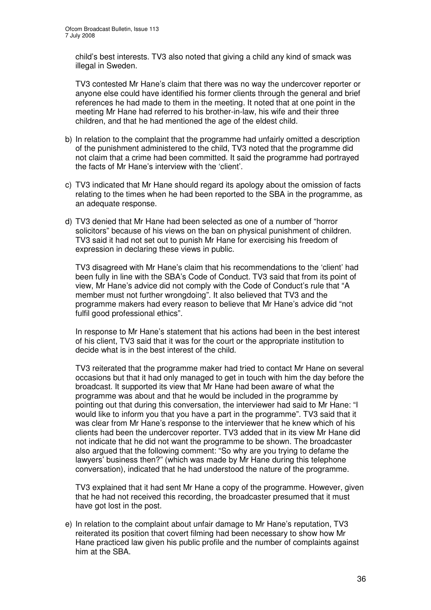child's best interests. TV3 also noted that giving a child any kind of smack was illegal in Sweden.

TV3 contested Mr Hane's claim that there was no way the undercover reporter or anyone else could have identified his former clients through the general and brief references he had made to them in the meeting. It noted that at one point in the meeting Mr Hane had referred to his brother-in-law, his wife and their three children, and that he had mentioned the age of the eldest child.

- b) In relation to the complaint that the programme had unfairly omitted a description of the punishment administered to the child, TV3 noted that the programme did not claim that a crime had been committed. It said the programme had portrayed the facts of Mr Hane's interview with the 'client'.
- c) TV3 indicated that Mr Hane should regard its apology about the omission of facts relating to the times when he had been reported to the SBA in the programme, as an adequate response.
- d) TV3 denied that Mr Hane had been selected as one of a number of "horror solicitors" because of his views on the ban on physical punishment of children. TV3 said it had not set out to punish Mr Hane for exercising his freedom of expression in declaring these views in public.

TV3 disagreed with Mr Hane's claim that his recommendations to the 'client' had been fully in line with the SBA's Code of Conduct. TV3 said that from its point of view, Mr Hane's advice did not comply with the Code of Conduct's rule that "A member must not further wrongdoing". It also believed that TV3 and the programme makers had every reason to believe that Mr Hane's advice did "not fulfil good professional ethics".

In response to Mr Hane's statement that his actions had been in the best interest of his client, TV3 said that it was for the court or the appropriate institution to decide what is in the best interest of the child.

TV3 reiterated that the programme maker had tried to contact Mr Hane on several occasions but that it had only managed to get in touch with him the day before the broadcast. It supported its view that Mr Hane had been aware of what the programme was about and that he would be included in the programme by pointing out that during this conversation, the interviewer had said to Mr Hane: "I would like to inform you that you have a part in the programme". TV3 said that it was clear from Mr Hane's response to the interviewer that he knew which of his clients had been the undercover reporter. TV3 added that in its view Mr Hane did not indicate that he did not want the programme to be shown. The broadcaster also argued that the following comment: "So why are you trying to defame the lawyers' business then?" (which was made by Mr Hane during this telephone conversation), indicated that he had understood the nature of the programme.

TV3 explained that it had sent Mr Hane a copy of the programme. However, given that he had not received this recording, the broadcaster presumed that it must have got lost in the post.

e) In relation to the complaint about unfair damage to Mr Hane's reputation, TV3 reiterated its position that covert filming had been necessary to show how Mr Hane practiced law given his public profile and the number of complaints against him at the SBA.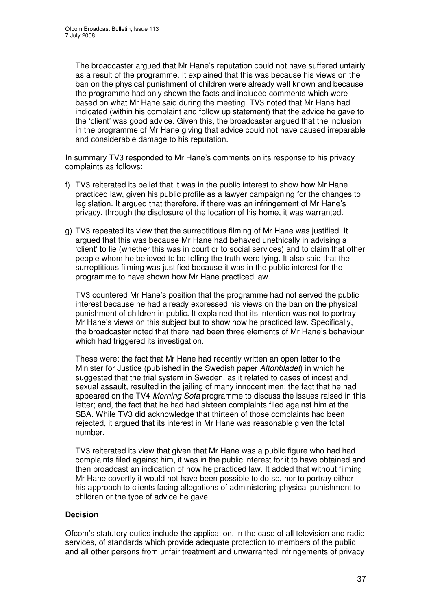The broadcaster argued that Mr Hane's reputation could not have suffered unfairly as a result of the programme. It explained that this was because his views on the ban on the physical punishment of children were already well known and because the programme had only shown the facts and included comments which were based on what Mr Hane said during the meeting. TV3 noted that Mr Hane had indicated (within his complaint and follow up statement) that the advice he gave to the 'client' was good advice. Given this, the broadcaster argued that the inclusion in the programme of Mr Hane giving that advice could not have caused irreparable and considerable damage to his reputation.

In summary TV3 responded to Mr Hane's comments on its response to his privacy complaints as follows:

- f) TV3 reiterated its belief that it was in the public interest to show how Mr Hane practiced law, given his public profile as a lawyer campaigning for the changes to legislation. It argued that therefore, if there was an infringement of Mr Hane's privacy, through the disclosure of the location of his home, it was warranted.
- g) TV3 repeated its view that the surreptitious filming of Mr Hane was justified. It argued that this was because Mr Hane had behaved unethically in advising a 'client' to lie (whether this was in court or to social services) and to claim that other people whom he believed to be telling the truth were lying. It also said that the surreptitious filming was justified because it was in the public interest for the programme to have shown how Mr Hane practiced law.

TV3 countered Mr Hane's position that the programme had not served the public interest because he had already expressed his views on the ban on the physical punishment of children in public. It explained that its intention was not to portray Mr Hane's views on this subject but to show how he practiced law. Specifically, the broadcaster noted that there had been three elements of Mr Hane's behaviour which had triggered its investigation.

These were: the fact that Mr Hane had recently written an open letter to the Minister for Justice (published in the Swedish paper *Aftonbladet*) in which he suggested that the trial system in Sweden, as it related to cases of incest and sexual assault, resulted in the jailing of many innocent men; the fact that he had appeared on the TV4 *Morning Sofa* programme to discuss the issues raised in this letter; and, the fact that he had had sixteen complaints filed against him at the SBA. While TV3 did acknowledge that thirteen of those complaints had been rejected, it argued that its interest in Mr Hane was reasonable given the total number.

TV3 reiterated its view that given that Mr Hane was a public figure who had had complaints filed against him, it was in the public interest for it to have obtained and then broadcast an indication of how he practiced law. It added that without filming Mr Hane covertly it would not have been possible to do so, nor to portray either his approach to clients facing allegations of administering physical punishment to children or the type of advice he gave.

#### **Decision**

Ofcom's statutory duties include the application, in the case of all television and radio services, of standards which provide adequate protection to members of the public and all other persons from unfair treatment and unwarranted infringements of privacy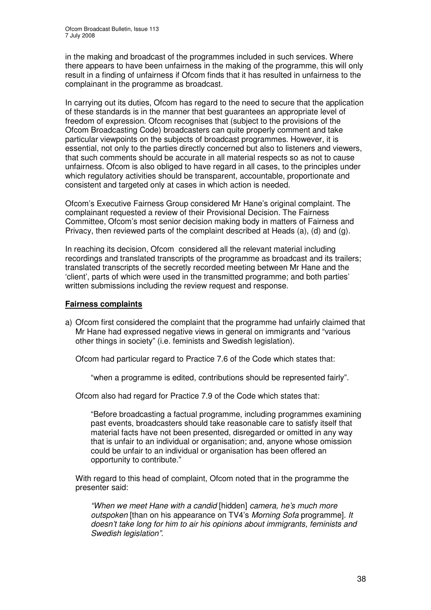in the making and broadcast of the programmes included in such services. Where there appears to have been unfairness in the making of the programme, this will only result in a finding of unfairness if Ofcom finds that it has resulted in unfairness to the complainant in the programme as broadcast.

In carrying out its duties, Ofcom has regard to the need to secure that the application of these standards is in the manner that best guarantees an appropriate level of freedom of expression. Ofcom recognises that (subject to the provisions of the Ofcom Broadcasting Code) broadcasters can quite properly comment and take particular viewpoints on the subjects of broadcast programmes. However, it is essential, not only to the parties directly concerned but also to listeners and viewers, that such comments should be accurate in all material respects so as not to cause unfairness. Ofcom is also obliged to have regard in all cases, to the principles under which regulatory activities should be transparent, accountable, proportionate and consistent and targeted only at cases in which action is needed.

Ofcom's Executive Fairness Group considered Mr Hane's original complaint. The complainant requested a review of their Provisional Decision. The Fairness Committee, Ofcom's most senior decision making body in matters of Fairness and Privacy, then reviewed parts of the complaint described at Heads (a), (d) and (g).

In reaching its decision, Ofcom considered all the relevant material including recordings and translated transcripts of the programme as broadcast and its trailers; translated transcripts of the secretly recorded meeting between Mr Hane and the 'client', parts of which were used in the transmitted programme; and both parties' written submissions including the review request and response.

#### **Fairness complaints**

a) Ofcom first considered the complaint that the programme had unfairly claimed that Mr Hane had expressed negative views in general on immigrants and "various other things in society" (i.e. feminists and Swedish legislation).

Ofcom had particular regard to Practice 7.6 of the Code which states that:

"when a programme is edited, contributions should be represented fairly".

Ofcom also had regard for Practice 7.9 of the Code which states that:

"Before broadcasting a factual programme, including programmes examining past events, broadcasters should take reasonable care to satisfy itself that material facts have not been presented, disregarded or omitted in any way that is unfair to an individual or organisation; and, anyone whose omission could be unfair to an individual or organisation has been offered an opportunity to contribute."

With regard to this head of complaint, Ofcom noted that in the programme the presenter said:

*"When we meet Hane with a candid* [hidden] *camera, he's much more outspoken* [than on his appearance on TV4's *Morning Sofa* programme]*. It doesn't take long for him to air his opinions about immigrants, feminists and Swedish legislation".*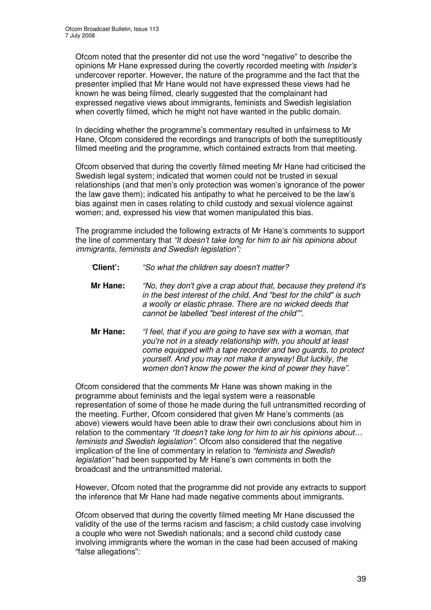Ofcom noted that the presenter did not use the word "negative" to describe the opinions Mr Hane expressed during the covertly recorded meeting with *Insider's* undercover reporter. However, the nature of the programme and the fact that the presenter implied that Mr Hane would not have expressed these views had he known he was being filmed, clearly suggested that the complainant had expressed negative views about immigrants, feminists and Swedish legislation when covertly filmed, which he might not have wanted in the public domain.

In deciding whether the programme's commentary resulted in unfairness to Mr Hane, Ofcom considered the recordings and transcripts of both the surreptitiously filmed meeting and the programme, which contained extracts from that meeting.

Ofcom observed that during the covertly filmed meeting Mr Hane had criticised the Swedish legal system; indicated that women could not be trusted in sexual relationships (and that men's only protection was women's ignorance of the power the law gave them); indicated his antipathy to what he perceived to be the law's bias against men in cases relating to child custody and sexual violence against women; and, expressed his view that women manipulated this bias.

The programme included the following extracts of Mr Hane's comments to support the line of commentary that *"It doesn't take long for him to air his opinions about immigrants, feminists and Swedish legislation":*

- *'***Client':** *"So what the children say doesn't matter?*
- **Mr Hane:** *"No, they don't give a crap about that, because they pretend it's in the best interest of the child. And "best for the child" is such a woolly or elastic phrase. There are no wicked deeds that cannot be labelled "best interest of the child"".*
- **Mr Hane:** *"I feel, that if you are going to have sex with a woman, that you're not in a steady relationship with, you should at least come equipped with a tape recorder and two guards, to protect yourself. And you may not make it anyway! But luckily, the women don't know the power the kind of power they have".*

Ofcom considered that the comments Mr Hane was shown making in the programme about feminists and the legal system were a reasonable representation of some of those he made during the full untransmitted recording of the meeting. Further, Ofcom considered that given Mr Hane's comments (as above) viewers would have been able to draw their own conclusions about him in relation to the commentary *"It doesn't take long for him to air his opinions about… feminists and Swedish legislation"*. Ofcom also considered that the negative implication of the line of commentary in relation to *"feminists and Swedish legislation"* had been supported by Mr Hane's own comments in both the broadcast and the untransmitted material.

However, Ofcom noted that the programme did not provide any extracts to support the inference that Mr Hane had made negative comments about immigrants.

Ofcom observed that during the covertly filmed meeting Mr Hane discussed the validity of the use of the terms racism and fascism; a child custody case involving a couple who were not Swedish nationals; and a second child custody case involving immigrants where the woman in the case had been accused of making "false allegations":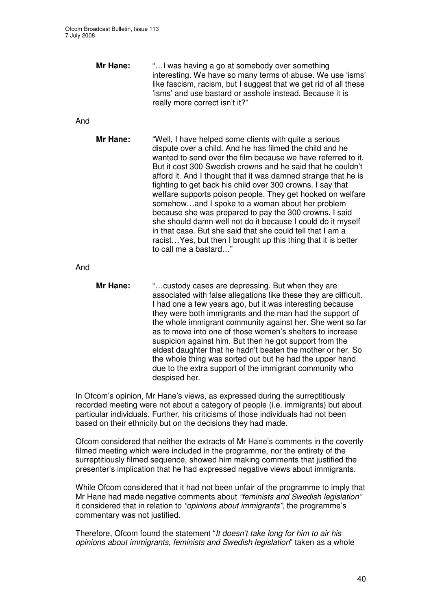|     | Mr Hane:        | " I was having a go at somebody over something<br>interesting. We have so many terms of abuse. We use 'isms'<br>like fascism, racism, but I suggest that we get rid of all these<br>'isms' and use bastard or asshole instead. Because it is<br>really more correct isn't it?"                                                                                                                                                                                                                                                                                                                                                                                                                                                                                                       |
|-----|-----------------|--------------------------------------------------------------------------------------------------------------------------------------------------------------------------------------------------------------------------------------------------------------------------------------------------------------------------------------------------------------------------------------------------------------------------------------------------------------------------------------------------------------------------------------------------------------------------------------------------------------------------------------------------------------------------------------------------------------------------------------------------------------------------------------|
| And |                 |                                                                                                                                                                                                                                                                                                                                                                                                                                                                                                                                                                                                                                                                                                                                                                                      |
|     | Mr Hane:        | "Well, I have helped some clients with quite a serious<br>dispute over a child. And he has filmed the child and he<br>wanted to send over the film because we have referred to it.<br>But it cost 300 Swedish crowns and he said that he couldn't<br>afford it. And I thought that it was damned strange that he is<br>fighting to get back his child over 300 crowns. I say that<br>welfare supports poison people. They get hooked on welfare<br>somehowand I spoke to a woman about her problem<br>because she was prepared to pay the 300 crowns. I said<br>she should damn well not do it because I could do it myself<br>in that case. But she said that she could tell that I am a<br>racist Yes, but then I brought up this thing that it is better<br>to call me a bastard" |
| And |                 |                                                                                                                                                                                                                                                                                                                                                                                                                                                                                                                                                                                                                                                                                                                                                                                      |
|     | <b>Mr Hane:</b> | " custody cases are depressing. But when they are<br>associated with false allegations like these they are difficult.<br>I had one a few years ago, but it was interesting because<br>they were both immigrants and the man had the support of<br>the whole immigrant community against her. She went so far<br>as to move into one of those women's shelters to increase<br>suspicion against him. But then he got support from the<br>eldest daughter that he hadn't beaten the mother or her. So<br>the whole thing was sorted out but he had the upper hand<br>due to the extra support of the immigrant community who<br>despised her.                                                                                                                                          |

In Ofcom's opinion, Mr Hane's views, as expressed during the surreptitiously recorded meeting were not about a category of people (i.e. immigrants) but about particular individuals. Further, his criticisms of those individuals had not been based on their ethnicity but on the decisions they had made.

Ofcom considered that neither the extracts of Mr Hane's comments in the covertly filmed meeting which were included in the programme, nor the entirety of the surreptitiously filmed sequence, showed him making comments that justified the presenter's implication that he had expressed negative views about immigrants.

While Ofcom considered that it had not been unfair of the programme to imply that Mr Hane had made negative comments about *"feminists and Swedish legislation"* it considered that in relation to *"opinions about immigrants"*, the programme's commentary was not justified.

Therefore, Ofcom found the statement "*It doesn't take long for him to air his opinions about immigrants, feminists and Swedish legislation*" taken as a whole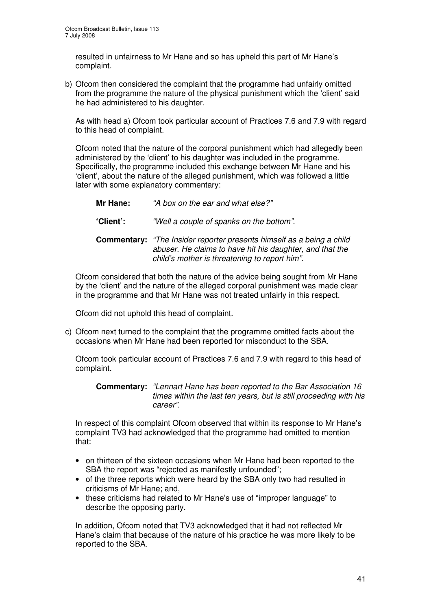resulted in unfairness to Mr Hane and so has upheld this part of Mr Hane's complaint.

b) Ofcom then considered the complaint that the programme had unfairly omitted from the programme the nature of the physical punishment which the 'client' said he had administered to his daughter.

As with head a) Ofcom took particular account of Practices 7.6 and 7.9 with regard to this head of complaint.

Ofcom noted that the nature of the corporal punishment which had allegedly been administered by the 'client' to his daughter was included in the programme. Specifically, the programme included this exchange between Mr Hane and his 'client', about the nature of the alleged punishment, which was followed a little later with some explanatory commentary:

| Mr Hane:<br>"A box on the ear and what else?" |
|-----------------------------------------------|
|-----------------------------------------------|

**'Client':** *"Well a couple of spanks on the bottom".*

**Commentary:** *"The Insider reporter presents himself as a being a child abuser. He claims to have hit his daughter, and that the child's mother is threatening to report him".*

Ofcom considered that both the nature of the advice being sought from Mr Hane by the 'client' and the nature of the alleged corporal punishment was made clear in the programme and that Mr Hane was not treated unfairly in this respect.

Ofcom did not uphold this head of complaint.

c) Ofcom next turned to the complaint that the programme omitted facts about the occasions when Mr Hane had been reported for misconduct to the SBA.

Ofcom took particular account of Practices 7.6 and 7.9 with regard to this head of complaint.

**Commentary:** *"Lennart Hane has been reported to the Bar Association 16 times within the last ten years, but is still proceeding with his career".*

In respect of this complaint Ofcom observed that within its response to Mr Hane's complaint TV3 had acknowledged that the programme had omitted to mention that:

- on thirteen of the sixteen occasions when Mr Hane had been reported to the SBA the report was "rejected as manifestly unfounded";
- of the three reports which were heard by the SBA only two had resulted in criticisms of Mr Hane; and,
- these criticisms had related to Mr Hane's use of "improper language" to describe the opposing party.

In addition, Ofcom noted that TV3 acknowledged that it had not reflected Mr Hane's claim that because of the nature of his practice he was more likely to be reported to the SBA.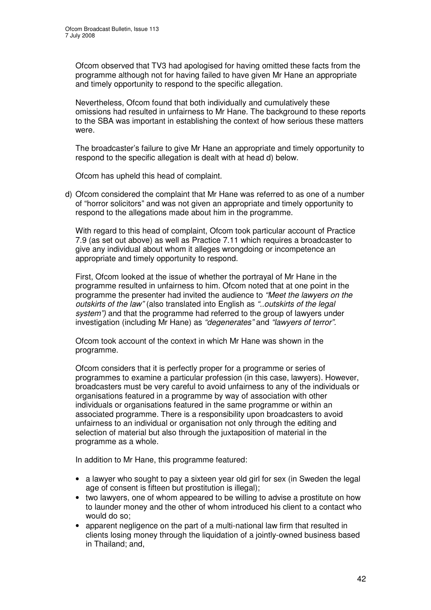Ofcom observed that TV3 had apologised for having omitted these facts from the programme although not for having failed to have given Mr Hane an appropriate and timely opportunity to respond to the specific allegation.

Nevertheless, Ofcom found that both individually and cumulatively these omissions had resulted in unfairness to Mr Hane. The background to these reports to the SBA was important in establishing the context of how serious these matters were.

The broadcaster's failure to give Mr Hane an appropriate and timely opportunity to respond to the specific allegation is dealt with at head d) below.

Ofcom has upheld this head of complaint.

d) Ofcom considered the complaint that Mr Hane was referred to as one of a number of "horror solicitors" and was not given an appropriate and timely opportunity to respond to the allegations made about him in the programme.

With regard to this head of complaint, Ofcom took particular account of Practice 7.9 (as set out above) as well as Practice 7.11 which requires a broadcaster to give any individual about whom it alleges wrongdoing or incompetence an appropriate and timely opportunity to respond.

First, Ofcom looked at the issue of whether the portrayal of Mr Hane in the programme resulted in unfairness to him. Ofcom noted that at one point in the programme the presenter had invited the audience to *"Meet the lawyers on the outskirts of the law"* (also translated into English as *"..outskirts of the legal system")* and that the programme had referred to the group of lawyers under investigation (including Mr Hane) as *"degenerates"* and *"lawyers of terror".*

Ofcom took account of the context in which Mr Hane was shown in the programme.

Ofcom considers that it is perfectly proper for a programme or series of programmes to examine a particular profession (in this case, lawyers). However, broadcasters must be very careful to avoid unfairness to any of the individuals or organisations featured in a programme by way of association with other individuals or organisations featured in the same programme or within an associated programme. There is a responsibility upon broadcasters to avoid unfairness to an individual or organisation not only through the editing and selection of material but also through the juxtaposition of material in the programme as a whole.

In addition to Mr Hane, this programme featured:

- a lawyer who sought to pay a sixteen year old girl for sex (in Sweden the legal age of consent is fifteen but prostitution is illegal);
- two lawyers, one of whom appeared to be willing to advise a prostitute on how to launder money and the other of whom introduced his client to a contact who would do so;
- apparent negligence on the part of a multi-national law firm that resulted in clients losing money through the liquidation of a jointly-owned business based in Thailand; and,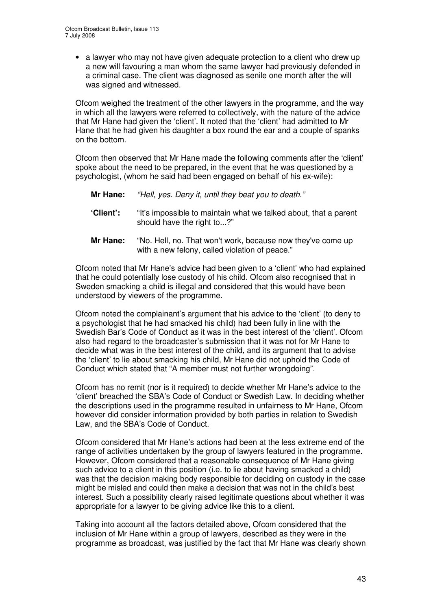• a lawyer who may not have given adequate protection to a client who drew up a new will favouring a man whom the same lawyer had previously defended in a criminal case. The client was diagnosed as senile one month after the will was signed and witnessed.

Ofcom weighed the treatment of the other lawyers in the programme, and the way in which all the lawyers were referred to collectively, with the nature of the advice that Mr Hane had given the 'client'. It noted that the 'client' had admitted to Mr Hane that he had given his daughter a box round the ear and a couple of spanks on the bottom.

Ofcom then observed that Mr Hane made the following comments after the 'client' spoke about the need to be prepared, in the event that he was questioned by a psychologist, (whom he said had been engaged on behalf of his ex-wife):

- **Mr Hane:** *"Hell, yes. Deny it, until they beat you to death."*
- **'Client':** "It's impossible to maintain what we talked about, that a parent should have the right to...?"
- **Mr Hane:** "No. Hell, no. That won't work, because now they've come up with a new felony, called violation of peace."

Ofcom noted that Mr Hane's advice had been given to a 'client' who had explained that he could potentially lose custody of his child. Ofcom also recognised that in Sweden smacking a child is illegal and considered that this would have been understood by viewers of the programme.

Ofcom noted the complainant's argument that his advice to the 'client' (to deny to a psychologist that he had smacked his child) had been fully in line with the Swedish Bar's Code of Conduct as it was in the best interest of the 'client'. Ofcom also had regard to the broadcaster's submission that it was not for Mr Hane to decide what was in the best interest of the child, and its argument that to advise the 'client' to lie about smacking his child, Mr Hane did not uphold the Code of Conduct which stated that "A member must not further wrongdoing".

Ofcom has no remit (nor is it required) to decide whether Mr Hane's advice to the 'client' breached the SBA's Code of Conduct or Swedish Law. In deciding whether the descriptions used in the programme resulted in unfairness to Mr Hane, Ofcom however did consider information provided by both parties in relation to Swedish Law, and the SBA's Code of Conduct.

Ofcom considered that Mr Hane's actions had been at the less extreme end of the range of activities undertaken by the group of lawyers featured in the programme. However, Ofcom considered that a reasonable consequence of Mr Hane giving such advice to a client in this position (i.e. to lie about having smacked a child) was that the decision making body responsible for deciding on custody in the case might be misled and could then make a decision that was not in the child's best interest. Such a possibility clearly raised legitimate questions about whether it was appropriate for a lawyer to be giving advice like this to a client.

Taking into account all the factors detailed above, Ofcom considered that the inclusion of Mr Hane within a group of lawyers, described as they were in the programme as broadcast, was justified by the fact that Mr Hane was clearly shown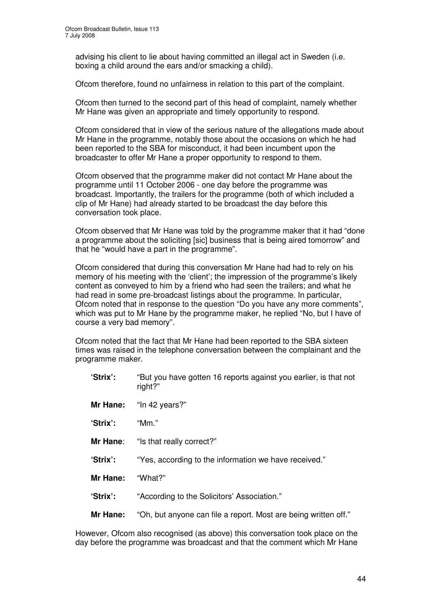advising his client to lie about having committed an illegal act in Sweden (i.e. boxing a child around the ears and/or smacking a child).

Ofcom therefore, found no unfairness in relation to this part of the complaint.

Ofcom then turned to the second part of this head of complaint, namely whether Mr Hane was given an appropriate and timely opportunity to respond.

Ofcom considered that in view of the serious nature of the allegations made about Mr Hane in the programme, notably those about the occasions on which he had been reported to the SBA for misconduct, it had been incumbent upon the broadcaster to offer Mr Hane a proper opportunity to respond to them.

Ofcom observed that the programme maker did not contact Mr Hane about the programme until 11 October 2006 - one day before the programme was broadcast. Importantly, the trailers for the programme (both of which included a clip of Mr Hane) had already started to be broadcast the day before this conversation took place.

Ofcom observed that Mr Hane was told by the programme maker that it had "done a programme about the soliciting [sic] business that is being aired tomorrow" and that he "would have a part in the programme".

Ofcom considered that during this conversation Mr Hane had had to rely on his memory of his meeting with the 'client'; the impression of the programme's likely content as conveyed to him by a friend who had seen the trailers; and what he had read in some pre-broadcast listings about the programme. In particular, Ofcom noted that in response to the question "Do you have any more comments", which was put to Mr Hane by the programme maker, he replied "No, but I have of course a very bad memory".

Ofcom noted that the fact that Mr Hane had been reported to the SBA sixteen times was raised in the telephone conversation between the complainant and the programme maker.

- **'Strix':** "But you have gotten 16 reports against you earlier, is that not right?"
- **Mr Hane:** "In 42 years?"
- **'Strix':** "Mm."
- **Mr Hane:** "Is that really correct?"
- **'Strix':** "Yes, according to the information we have received."
- **Mr Hane:** "What?"

**'Strix':** "According to the Solicitors' Association."

**Mr Hane:** "Oh, but anyone can file a report. Most are being written off."

However, Ofcom also recognised (as above) this conversation took place on the day before the programme was broadcast and that the comment which Mr Hane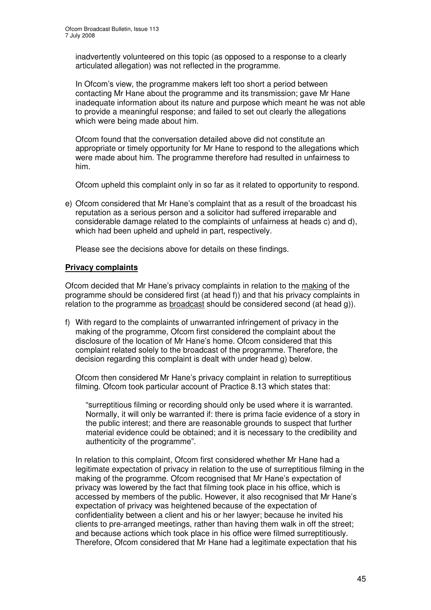inadvertently volunteered on this topic (as opposed to a response to a clearly articulated allegation) was not reflected in the programme.

In Ofcom's view, the programme makers left too short a period between contacting Mr Hane about the programme and its transmission; gave Mr Hane inadequate information about its nature and purpose which meant he was not able to provide a meaningful response; and failed to set out clearly the allegations which were being made about him.

Ofcom found that the conversation detailed above did not constitute an appropriate or timely opportunity for Mr Hane to respond to the allegations which were made about him. The programme therefore had resulted in unfairness to him.

Ofcom upheld this complaint only in so far as it related to opportunity to respond.

e) Ofcom considered that Mr Hane's complaint that as a result of the broadcast his reputation as a serious person and a solicitor had suffered irreparable and considerable damage related to the complaints of unfairness at heads c) and d), which had been upheld and upheld in part, respectively.

Please see the decisions above for details on these findings.

#### **Privacy complaints**

Ofcom decided that Mr Hane's privacy complaints in relation to the making of the programme should be considered first (at head f)) and that his privacy complaints in relation to the programme as broadcast should be considered second (at head g)).

f) With regard to the complaints of unwarranted infringement of privacy in the making of the programme, Ofcom first considered the complaint about the disclosure of the location of Mr Hane's home. Ofcom considered that this complaint related solely to the broadcast of the programme. Therefore, the decision regarding this complaint is dealt with under head g) below.

Ofcom then considered Mr Hane's privacy complaint in relation to surreptitious filming. Ofcom took particular account of Practice 8.13 which states that:

"surreptitious filming or recording should only be used where it is warranted. Normally, it will only be warranted if: there is prima facie evidence of a story in the public interest; and there are reasonable grounds to suspect that further material evidence could be obtained; and it is necessary to the credibility and authenticity of the programme".

In relation to this complaint, Ofcom first considered whether Mr Hane had a legitimate expectation of privacy in relation to the use of surreptitious filming in the making of the programme. Ofcom recognised that Mr Hane's expectation of privacy was lowered by the fact that filming took place in his office, which is accessed by members of the public. However, it also recognised that Mr Hane's expectation of privacy was heightened because of the expectation of confidentiality between a client and his or her lawyer; because he invited his clients to pre-arranged meetings, rather than having them walk in off the street; and because actions which took place in his office were filmed surreptitiously. Therefore, Ofcom considered that Mr Hane had a legitimate expectation that his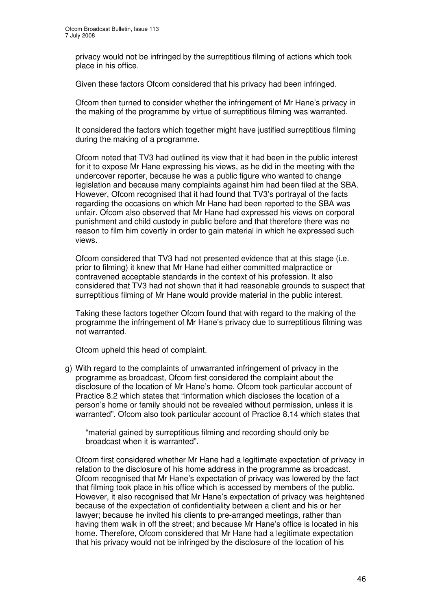privacy would not be infringed by the surreptitious filming of actions which took place in his office.

Given these factors Ofcom considered that his privacy had been infringed.

Ofcom then turned to consider whether the infringement of Mr Hane's privacy in the making of the programme by virtue of surreptitious filming was warranted.

It considered the factors which together might have justified surreptitious filming during the making of a programme.

Ofcom noted that TV3 had outlined its view that it had been in the public interest for it to expose Mr Hane expressing his views, as he did in the meeting with the undercover reporter, because he was a public figure who wanted to change legislation and because many complaints against him had been filed at the SBA. However, Ofcom recognised that it had found that TV3's portrayal of the facts regarding the occasions on which Mr Hane had been reported to the SBA was unfair. Ofcom also observed that Mr Hane had expressed his views on corporal punishment and child custody in public before and that therefore there was no reason to film him covertly in order to gain material in which he expressed such views.

Ofcom considered that TV3 had not presented evidence that at this stage (i.e. prior to filming) it knew that Mr Hane had either committed malpractice or contravened acceptable standards in the context of his profession. It also considered that TV3 had not shown that it had reasonable grounds to suspect that surreptitious filming of Mr Hane would provide material in the public interest.

Taking these factors together Ofcom found that with regard to the making of the programme the infringement of Mr Hane's privacy due to surreptitious filming was not warranted.

Ofcom upheld this head of complaint.

g) With regard to the complaints of unwarranted infringement of privacy in the programme as broadcast, Ofcom first considered the complaint about the disclosure of the location of Mr Hane's home. Ofcom took particular account of Practice 8.2 which states that "information which discloses the location of a person's home or family should not be revealed without permission, unless it is warranted". Ofcom also took particular account of Practice 8.14 which states that

"material gained by surreptitious filming and recording should only be broadcast when it is warranted".

Ofcom first considered whether Mr Hane had a legitimate expectation of privacy in relation to the disclosure of his home address in the programme as broadcast. Ofcom recognised that Mr Hane's expectation of privacy was lowered by the fact that filming took place in his office which is accessed by members of the public. However, it also recognised that Mr Hane's expectation of privacy was heightened because of the expectation of confidentiality between a client and his or her lawyer; because he invited his clients to pre-arranged meetings, rather than having them walk in off the street; and because Mr Hane's office is located in his home. Therefore, Ofcom considered that Mr Hane had a legitimate expectation that his privacy would not be infringed by the disclosure of the location of his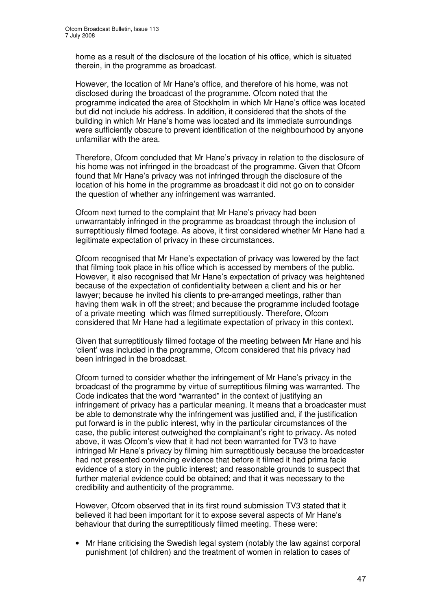home as a result of the disclosure of the location of his office, which is situated therein, in the programme as broadcast.

However, the location of Mr Hane's office, and therefore of his home, was not disclosed during the broadcast of the programme. Ofcom noted that the programme indicated the area of Stockholm in which Mr Hane's office was located but did not include his address. In addition, it considered that the shots of the building in which Mr Hane's home was located and its immediate surroundings were sufficiently obscure to prevent identification of the neighbourhood by anyone unfamiliar with the area.

Therefore, Ofcom concluded that Mr Hane's privacy in relation to the disclosure of his home was not infringed in the broadcast of the programme. Given that Ofcom found that Mr Hane's privacy was not infringed through the disclosure of the location of his home in the programme as broadcast it did not go on to consider the question of whether any infringement was warranted.

Ofcom next turned to the complaint that Mr Hane's privacy had been unwarrantably infringed in the programme as broadcast through the inclusion of surreptitiously filmed footage. As above, it first considered whether Mr Hane had a legitimate expectation of privacy in these circumstances.

Ofcom recognised that Mr Hane's expectation of privacy was lowered by the fact that filming took place in his office which is accessed by members of the public. However, it also recognised that Mr Hane's expectation of privacy was heightened because of the expectation of confidentiality between a client and his or her lawyer; because he invited his clients to pre-arranged meetings, rather than having them walk in off the street; and because the programme included footage of a private meeting which was filmed surreptitiously. Therefore, Ofcom considered that Mr Hane had a legitimate expectation of privacy in this context.

Given that surreptitiously filmed footage of the meeting between Mr Hane and his 'client' was included in the programme, Ofcom considered that his privacy had been infringed in the broadcast.

Ofcom turned to consider whether the infringement of Mr Hane's privacy in the broadcast of the programme by virtue of surreptitious filming was warranted. The Code indicates that the word "warranted" in the context of justifying an infringement of privacy has a particular meaning. It means that a broadcaster must be able to demonstrate why the infringement was justified and, if the justification put forward is in the public interest, why in the particular circumstances of the case, the public interest outweighed the complainant's right to privacy. As noted above, it was Ofcom's view that it had not been warranted for TV3 to have infringed Mr Hane's privacy by filming him surreptitiously because the broadcaster had not presented convincing evidence that before it filmed it had prima facie evidence of a story in the public interest; and reasonable grounds to suspect that further material evidence could be obtained; and that it was necessary to the credibility and authenticity of the programme.

However, Ofcom observed that in its first round submission TV3 stated that it believed it had been important for it to expose several aspects of Mr Hane's behaviour that during the surreptitiously filmed meeting. These were:

• Mr Hane criticising the Swedish legal system (notably the law against corporal punishment (of children) and the treatment of women in relation to cases of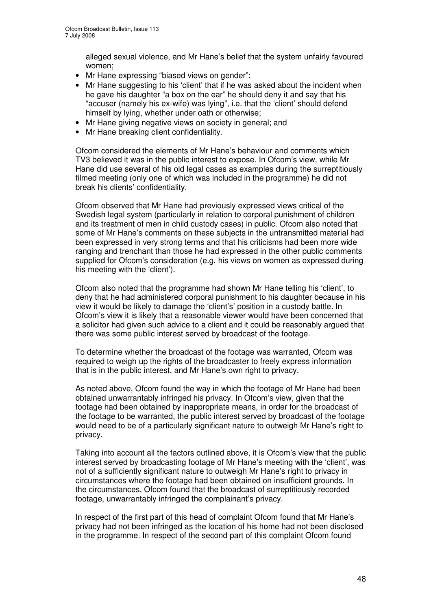alleged sexual violence, and Mr Hane's belief that the system unfairly favoured women;

- Mr Hane expressing "biased views on gender";
- Mr Hane suggesting to his 'client' that if he was asked about the incident when he gave his daughter "a box on the ear" he should deny it and say that his "accuser (namely his ex-wife) was lying", i.e. that the 'client' should defend himself by lying, whether under oath or otherwise;
- Mr Hane giving negative views on society in general; and
- Mr Hane breaking client confidentiality.

Ofcom considered the elements of Mr Hane's behaviour and comments which TV3 believed it was in the public interest to expose. In Ofcom's view, while Mr Hane did use several of his old legal cases as examples during the surreptitiously filmed meeting (only one of which was included in the programme) he did not break his clients' confidentiality.

Ofcom observed that Mr Hane had previously expressed views critical of the Swedish legal system (particularly in relation to corporal punishment of children and its treatment of men in child custody cases) in public. Ofcom also noted that some of Mr Hane's comments on these subjects in the untransmitted material had been expressed in very strong terms and that his criticisms had been more wide ranging and trenchant than those he had expressed in the other public comments supplied for Ofcom's consideration (e.g. his views on women as expressed during his meeting with the 'client').

Ofcom also noted that the programme had shown Mr Hane telling his 'client', to deny that he had administered corporal punishment to his daughter because in his view it would be likely to damage the 'client's' position in a custody battle. In Ofcom's view it is likely that a reasonable viewer would have been concerned that a solicitor had given such advice to a client and it could be reasonably argued that there was some public interest served by broadcast of the footage.

To determine whether the broadcast of the footage was warranted, Ofcom was required to weigh up the rights of the broadcaster to freely express information that is in the public interest, and Mr Hane's own right to privacy.

As noted above, Ofcom found the way in which the footage of Mr Hane had been obtained unwarrantably infringed his privacy. In Ofcom's view, given that the footage had been obtained by inappropriate means, in order for the broadcast of the footage to be warranted, the public interest served by broadcast of the footage would need to be of a particularly significant nature to outweigh Mr Hane's right to privacy.

Taking into account all the factors outlined above, it is Ofcom's view that the public interest served by broadcasting footage of Mr Hane's meeting with the 'client', was not of a sufficiently significant nature to outweigh Mr Hane's right to privacy in circumstances where the footage had been obtained on insufficient grounds. In the circumstances, Ofcom found that the broadcast of surreptitiously recorded footage, unwarrantably infringed the complainant's privacy.

In respect of the first part of this head of complaint Ofcom found that Mr Hane's privacy had not been infringed as the location of his home had not been disclosed in the programme. In respect of the second part of this complaint Ofcom found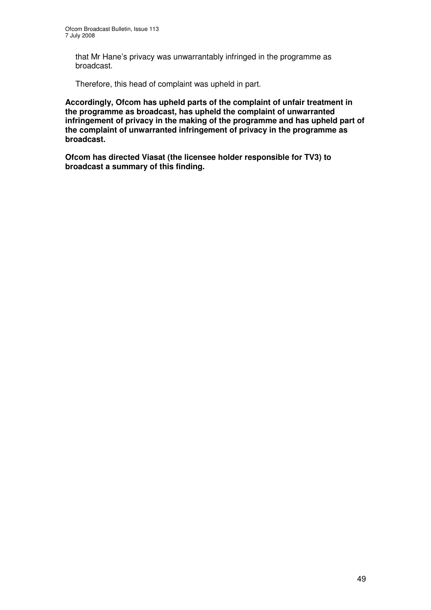that Mr Hane's privacy was unwarrantably infringed in the programme as broadcast.

Therefore, this head of complaint was upheld in part.

**Accordingly, Ofcom has upheld parts of the complaint of unfair treatment in the programme as broadcast, has upheld the complaint of unwarranted infringement of privacy in the making of the programme and has upheld part of the complaint of unwarranted infringement of privacy in the programme as broadcast.**

**Ofcom has directed Viasat (the licensee holder responsible for TV3) to broadcast a summary of this finding.**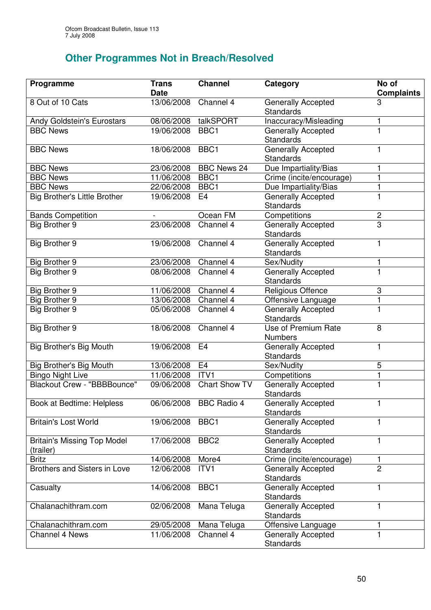# **Other Programmes Not in Breach/Resolved**

| Programme                                       | <b>Trans</b><br><b>Date</b> | <b>Channel</b>         | Category                                      | No of<br><b>Complaints</b> |
|-------------------------------------------------|-----------------------------|------------------------|-----------------------------------------------|----------------------------|
| 8 Out of 10 Cats                                | 13/06/2008                  | Channel 4              | <b>Generally Accepted</b><br><b>Standards</b> | 3                          |
| Andy Goldstein's Eurostars                      |                             | 08/06/2008 talkSPORT   | Inaccuracy/Misleading                         | 1                          |
| <b>BBC News</b>                                 | 19/06/2008                  | BBC1                   | <b>Generally Accepted</b><br>Standards        |                            |
| <b>BBC News</b>                                 | 18/06/2008                  | BBC1                   | <b>Generally Accepted</b><br><b>Standards</b> | 1                          |
| <b>BBC News</b>                                 |                             | 23/06/2008 BBC News 24 | Due Impartiality/Bias                         | 1                          |
| <b>BBC News</b>                                 | 11/06/2008                  | BBC1                   | Crime (incite/encourage)                      | 1                          |
| <b>BBC News</b>                                 | 22/06/2008                  | BBC1                   | Due Impartiality/Bias                         | 1                          |
| <b>Big Brother's Little Brother</b>             | 19/06/2008                  | E <sub>4</sub>         | <b>Generally Accepted</b><br><b>Standards</b> | $\overline{1}$             |
| <b>Bands Competition</b>                        |                             | Ocean FM               | Competitions                                  | $\overline{c}$             |
| Big Brother 9                                   | 23/06/2008                  | Channel 4              | <b>Generally Accepted</b><br><b>Standards</b> | $\overline{3}$             |
| <b>Big Brother 9</b>                            | 19/06/2008                  | Channel 4              | <b>Generally Accepted</b><br><b>Standards</b> | 1                          |
| Big Brother 9                                   | 23/06/2008                  | Channel 4              | Sex/Nudity                                    | 1                          |
| Big Brother 9                                   | 08/06/2008                  | Channel 4              | <b>Generally Accepted</b><br><b>Standards</b> | $\mathbf{1}$               |
| Big Brother 9                                   | 11/06/2008                  | Channel 4              | Religious Offence                             | 3                          |
| Big Brother 9                                   | 13/06/2008 Channel 4        |                        | Offensive Language                            | 1                          |
| Big Brother 9                                   | 05/06/2008                  | Channel 4              | Generally Accepted<br><b>Standards</b>        | $\mathbf{1}$               |
| Big Brother 9                                   | 18/06/2008                  | Channel 4              | Use of Premium Rate<br><b>Numbers</b>         | 8                          |
| Big Brother's Big Mouth                         | 19/06/2008                  | E <sub>4</sub>         | <b>Generally Accepted</b><br><b>Standards</b> | 1                          |
| <b>Big Brother's Big Mouth</b>                  | 13/06/2008                  | E <sub>4</sub>         | Sex/Nudity                                    | 5                          |
| <b>Bingo Night Live</b>                         | 11/06/2008                  | ITV <sub>1</sub>       | Competitions                                  | $\mathbf{1}$               |
| Blackout Crew - "BBBBounce"                     | 09/06/2008                  | Chart Show TV          | <b>Generally Accepted</b><br>Standards        | $\mathbf{1}$               |
| <b>Book at Bedtime: Helpless</b>                |                             | 06/06/2008 BBC Radio 4 | Generally Accepted<br><b>Standards</b>        |                            |
| <b>Britain's Lost World</b>                     | 19/06/2008                  | BBC1                   | Generally Accepted<br>Standards               | 1                          |
| <b>Britain's Missing Top Model</b><br>(trailer) | 17/06/2008                  | BBC <sub>2</sub>       | <b>Generally Accepted</b><br><b>Standards</b> | 1                          |
| <b>Britz</b>                                    | 14/06/2008                  | More4                  | Crime (incite/encourage)                      | 1                          |
| Brothers and Sisters in Love                    | 12/06/2008                  | ITV <sub>1</sub>       | <b>Generally Accepted</b><br><b>Standards</b> | $\overline{2}$             |
| Casualty                                        | 14/06/2008                  | BBC1                   | <b>Generally Accepted</b><br><b>Standards</b> | 1                          |
| Chalanachithram.com                             | 02/06/2008                  | Mana Teluga            | <b>Generally Accepted</b><br>Standards        | 1                          |
| Chalanachithram.com                             | 29/05/2008                  | Mana Teluga            | Offensive Language                            | 1                          |
| <b>Channel 4 News</b>                           | 11/06/2008                  | Channel 4              | <b>Generally Accepted</b><br>Standards        | 1                          |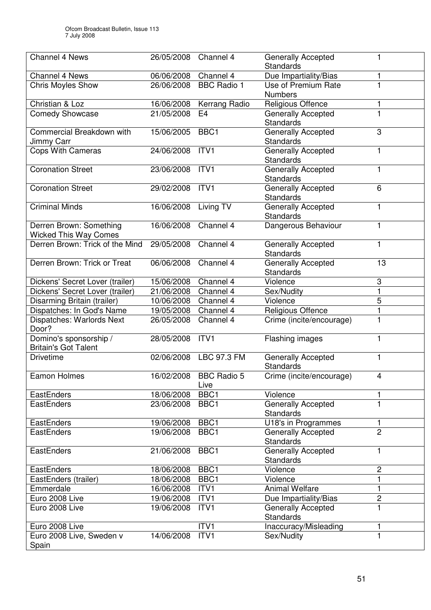| <b>Channel 4 News</b>                                   | 26/05/2008           | Channel 4                  | <b>Generally Accepted</b><br>Standards        | 1              |
|---------------------------------------------------------|----------------------|----------------------------|-----------------------------------------------|----------------|
| <b>Channel 4 News</b>                                   | 06/06/2008 Channel 4 |                            | Due Impartiality/Bias                         | 1              |
| <b>Chris Moyles Show</b>                                | 26/06/2008           | <b>BBC Radio 1</b>         | Use of Premium Rate<br><b>Numbers</b>         |                |
| Christian & Loz                                         | 16/06/2008           | Kerrang Radio              | Religious Offence                             | 1              |
| <b>Comedy Showcase</b>                                  | 21/05/2008           | E4                         | <b>Generally Accepted</b><br><b>Standards</b> |                |
| Commercial Breakdown with<br>Jimmy Carr                 | 15/06/2005           | BBC <sub>1</sub>           | <b>Generally Accepted</b><br><b>Standards</b> | 3              |
| <b>Cops With Cameras</b>                                | 24/06/2008           | ITV <sub>1</sub>           | Generally Accepted<br>Standards               | $\mathbf{1}$   |
| <b>Coronation Street</b>                                | 23/06/2008           | ITV <sub>1</sub>           | <b>Generally Accepted</b><br>Standards        | 1              |
| <b>Coronation Street</b>                                | 29/02/2008           | ITV <sub>1</sub>           | <b>Generally Accepted</b><br><b>Standards</b> | 6              |
| <b>Criminal Minds</b>                                   | 16/06/2008           | Living TV                  | <b>Generally Accepted</b><br><b>Standards</b> | 1              |
| Derren Brown: Something<br><b>Wicked This Way Comes</b> | 16/06/2008           | Channel 4                  | Dangerous Behaviour                           | 1              |
| Derren Brown: Trick of the Mind                         | 29/05/2008           | Channel 4                  | <b>Generally Accepted</b><br><b>Standards</b> | 1              |
| Derren Brown: Trick or Treat                            | 06/06/2008           | Channel 4                  | Generally Accepted<br>Standards               | 13             |
| Dickens' Secret Lover (trailer)                         | 15/06/2008           | Channel 4                  | Violence                                      | 3              |
| Dickens' Secret Lover (trailer)                         | 21/06/2008           | Channel 4                  | Sex/Nudity                                    | $\mathbf{1}$   |
| Disarming Britain (trailer)                             | 10/06/2008           | Channel 4                  | Violence                                      | 5              |
| Dispatches: In God's Name                               | 19/05/2008           | Channel 4                  | Religious Offence                             | $\mathbf{1}$   |
| Dispatches: Warlords Next<br>Door?                      | 26/05/2008           | Channel 4                  | Crime (incite/encourage)                      | 1              |
| Domino's sponsorship /<br><b>Britain's Got Talent</b>   | 28/05/2008           | ITV <sub>1</sub>           | Flashing images                               | $\mathbf{1}$   |
| <b>Drivetime</b>                                        | 02/06/2008           | LBC 97.3 FM                | <b>Generally Accepted</b><br>Standards        | 1              |
| Eamon Holmes                                            | 16/02/2008           | <b>BBC Radio 5</b><br>Live | Crime (incite/encourage)                      | 4              |
| <b>EastEnders</b>                                       | 18/06/2008           | BBC1                       | Violence                                      | 1              |
| EastEnders                                              | 23/06/2008           | BBC1                       | <b>Generally Accepted</b><br>Standards        | 1              |
| EastEnders                                              | 19/06/2008           | BBC1                       | U18's in Programmes                           | 1              |
| <b>EastEnders</b>                                       | 19/06/2008           | BBC1                       | <b>Generally Accepted</b><br>Standards        | $\overline{2}$ |
| EastEnders                                              | 21/06/2008           | BBC1                       | <b>Generally Accepted</b><br>Standards        | 1              |
| EastEnders                                              | 18/06/2008           | BBC1                       | Violence                                      | $\overline{c}$ |
| EastEnders (trailer)                                    | 18/06/2008           | BBC1                       | Violence                                      | 1              |
| Emmerdale                                               | 16/06/2008           | ITV <sub>1</sub>           | <b>Animal Welfare</b>                         | $\mathbf{1}$   |
| Euro 2008 Live                                          | 19/06/2008           | ITV1                       | Due Impartiality/Bias                         | $\overline{c}$ |
| Euro 2008 Live                                          | 19/06/2008           | ITV <sub>1</sub>           | <b>Generally Accepted</b><br>Standards        |                |
| Euro 2008 Live                                          |                      | ITV1                       | Inaccuracy/Misleading                         |                |
| Euro 2008 Live, Sweden v<br>Spain                       | 14/06/2008           | ITV <sub>1</sub>           | Sex/Nudity                                    | 1              |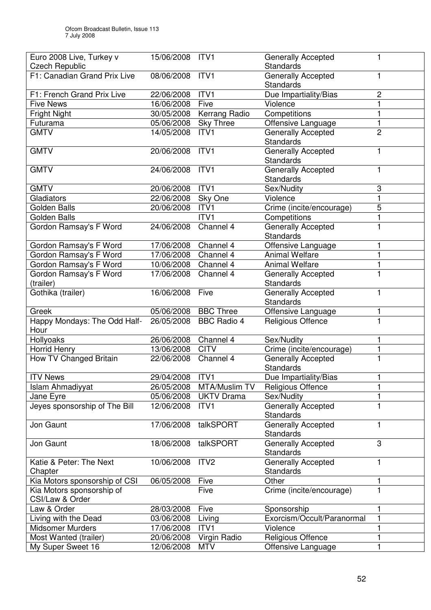| Euro 2008 Live, Turkey v      | 15/06/2008           | ITV <sub>1</sub>   | <b>Generally Accepted</b>              |                |
|-------------------------------|----------------------|--------------------|----------------------------------------|----------------|
| <b>Czech Republic</b>         |                      |                    | Standards                              |                |
| F1: Canadian Grand Prix Live  | 08/06/2008 ITV1      |                    | <b>Generally Accepted</b>              | 1              |
|                               |                      |                    | Standards                              |                |
| F1: French Grand Prix Live    | 22/06/2008           | ITV <sub>1</sub>   | Due Impartiality/Bias                  | $\overline{c}$ |
| <b>Five News</b>              | 16/06/2008           | Five               | Violence                               | $\mathbf{1}$   |
| Fright Night                  | 30/05/2008           | Kerrang Radio      | Competitions                           | $\mathbf{1}$   |
| Futurama                      | 05/06/2008           | <b>Sky Three</b>   | Offensive Language                     | $\mathbf{1}$   |
| <b>GMTV</b>                   | 14/05/2008           | ITV <sub>1</sub>   | <b>Generally Accepted</b>              | $\overline{2}$ |
|                               |                      |                    | Standards                              |                |
| <b>GMTV</b>                   | 20/06/2008           | ITV1               | <b>Generally Accepted</b>              |                |
|                               |                      |                    | Standards                              |                |
| <b>GMTV</b>                   | 24/06/2008           | ITV1               | <b>Generally Accepted</b>              | 1              |
|                               |                      |                    | Standards                              |                |
| <b>GMTV</b>                   | 20/06/2008           | ITV <sub>1</sub>   | Sex/Nudity                             | 3              |
| Gladiators                    | 22/06/2008           | Sky One            | Violence                               | 1              |
| Golden Balls                  | 20/06/2008           | ITV1               | Crime (incite/encourage)               | 5              |
| <b>Golden Balls</b>           |                      | ITV1               | Competitions                           |                |
| Gordon Ramsay's F Word        | 24/06/2008           | Channel 4          | Generally Accepted                     |                |
|                               |                      |                    | Standards                              |                |
| Gordon Ramsay's F Word        | 17/06/2008           | Channel 4          | Offensive Language                     |                |
| Gordon Ramsay's F Word        | 17/06/2008           | Channel 4          | <b>Animal Welfare</b>                  |                |
| Gordon Ramsay's F Word        | 10/06/2008 Channel 4 |                    | <b>Animal Welfare</b>                  | 1              |
| Gordon Ramsay's F Word        | 17/06/2008           | Channel 4          | <b>Generally Accepted</b>              |                |
| (trailer)                     |                      |                    | Standards                              |                |
| Gothika (trailer)             | 16/06/2008           | Five               | <b>Generally Accepted</b>              | 1              |
|                               |                      |                    | Standards                              |                |
| Greek                         | 05/06/2008           | <b>BBC Three</b>   | Offensive Language                     | 1              |
| Happy Mondays: The Odd Half-  | 26/05/2008           | <b>BBC Radio 4</b> | Religious Offence                      | 1              |
| Hour                          |                      |                    |                                        |                |
| Hollyoaks                     | 26/06/2008           | Channel 4          | Sex/Nudity                             | 1              |
| Horrid Henry                  | 13/06/2008           | <b>CITV</b>        | Crime (incite/encourage)               | 1              |
| How TV Changed Britain        | 22/06/2008           | Channel 4          | <b>Generally Accepted</b><br>Standards |                |
| <b>ITV News</b>               | 29/04/2008 ITV1      |                    | Due Impartiality/Bias                  | $\blacksquare$ |
| Islam Ahmadiyyat              | 26/05/2008           | MTA/Muslim TV      | <b>Religious Offence</b>               |                |
| Jane Eyre                     | 05/06/2008           | <b>UKTV Drama</b>  | Sex/Nudity                             |                |
| Jeyes sponsorship of The Bill | 12/06/2008           | ITV <sub>1</sub>   | <b>Generally Accepted</b>              | 1              |
|                               |                      |                    | Standards                              |                |
| Jon Gaunt                     | 17/06/2008           | talkSPORT          | <b>Generally Accepted</b>              | 1              |
|                               |                      |                    | Standards                              |                |
| Jon Gaunt                     | 18/06/2008           | talkSPORT          | <b>Generally Accepted</b>              | 3              |
|                               |                      |                    | Standards                              |                |
| Katie & Peter: The Next       | 10/06/2008           | ITV <sub>2</sub>   | <b>Generally Accepted</b>              | 1              |
| Chapter                       |                      |                    | Standards                              |                |
| Kia Motors sponsorship of CSI | 06/05/2008           | Five               | Other                                  |                |
| Kia Motors sponsorship of     |                      | Five               | Crime (incite/encourage)               |                |
| CSI/Law & Order               |                      |                    |                                        |                |
| Law & Order                   | 28/03/2008           | Five               | Sponsorship                            |                |
| Living with the Dead          | 03/06/2008           | Living             | Exorcism/Occult/Paranormal             |                |
| <b>Midsomer Murders</b>       | 17/06/2008           | ITV <sub>1</sub>   | Violence                               |                |
| Most Wanted (trailer)         | 20/06/2008           | Virgin Radio       | Religious Offence                      |                |
| My Super Sweet 16             | 12/06/2008           | <b>MTV</b>         | Offensive Language                     | 1              |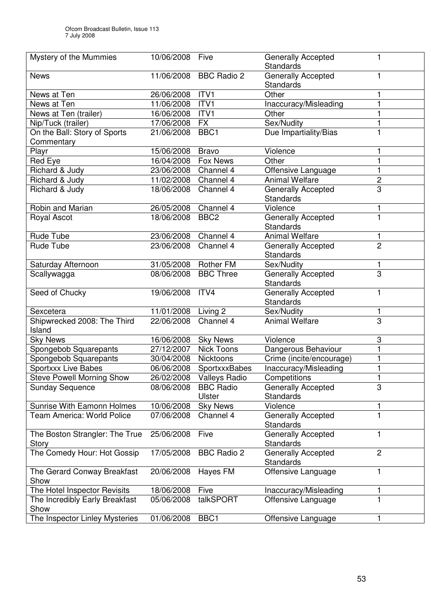| Mystery of the Mummies                     | 10/06/2008           | Five                       | <b>Generally Accepted</b><br><b>Standards</b> | 1              |
|--------------------------------------------|----------------------|----------------------------|-----------------------------------------------|----------------|
| <b>News</b>                                |                      | 11/06/2008 BBC Radio 2     | Generally Accepted<br><b>Standards</b>        | 1              |
| News at Ten                                | 26/06/2008           | ITV1                       | Other                                         | 1              |
| News at Ten                                | 11/06/2008           | ITV1                       | Inaccuracy/Misleading                         | 1              |
| News at Ten (trailer)                      | 16/06/2008           | ITV <sub>1</sub>           | Other                                         | 1              |
| Nip/Tuck (trailer)                         | 17/06/2008           | <b>FX</b>                  | Sex/Nudity                                    | 1              |
| On the Ball: Story of Sports<br>Commentary | 21/06/2008           | BBC <sub>1</sub>           | Due Impartiality/Bias                         |                |
| Playr                                      | 15/06/2008           | <b>Bravo</b>               | Violence                                      | 1              |
| Red Eye                                    | 16/04/2008           | Fox News                   | Other                                         | 1              |
| Richard & Judy                             | 23/06/2008           | Channel 4                  | Offensive Language                            | 1              |
| Richard & Judy                             | 11/02/2008 Channel 4 |                            | <b>Animal Welfare</b>                         | 2              |
| Richard & Judy                             | 18/06/2008           | Channel 4                  | <b>Generally Accepted</b><br><b>Standards</b> | 3              |
| Robin and Marian                           | 26/05/2008 Channel 4 |                            | Violence                                      | 1              |
| Royal Ascot                                | 18/06/2008           | BBC <sub>2</sub>           | <b>Generally Accepted</b><br><b>Standards</b> | 1              |
| Rude Tube                                  | 23/06/2008 Channel 4 |                            | <b>Animal Welfare</b>                         | 1              |
| Rude Tube                                  | 23/06/2008           | Channel 4                  | <b>Generally Accepted</b><br><b>Standards</b> | $\overline{2}$ |
| Saturday Afternoon                         | 31/05/2008 Rother FM |                            | Sex/Nudity                                    | 1              |
| Scallywagga                                | 08/06/2008           | <b>BBC Three</b>           | <b>Generally Accepted</b><br><b>Standards</b> | 3              |
| Seed of Chucky                             | 19/06/2008           | ITV4                       | <b>Generally Accepted</b><br><b>Standards</b> | 1              |
| Sexcetera                                  | 11/01/2008 Living 2  |                            | Sex/Nudity                                    | 1              |
| Shipwrecked 2008: The Third<br>Island      | 22/06/2008           | Channel 4                  | <b>Animal Welfare</b>                         | $\overline{3}$ |
| <b>Sky News</b>                            | 16/06/2008           | <b>Sky News</b>            | Violence                                      | 3              |
| Spongebob Squarepants                      | 27/12/2007           | <b>Nick Toons</b>          | Dangerous Behaviour                           | 1              |
| Spongebob Squarepants                      | 30/04/2008           | Nicktoons                  | Crime (incite/encourage)                      | 1              |
| Sportxxx Live Babes                        | 06/06/2008           | SportxxxBabes              | Inaccuracy/Misleading                         | 1              |
| <b>Steve Powell Morning Show</b>           |                      | 26/02/2008 Valleys Radio   | Competitions                                  | $\mathbf{1}$   |
| <b>Sunday Sequence</b>                     | 08/06/2008           | <b>BBC Radio</b><br>Ulster | <b>Generally Accepted</b><br><b>Standards</b> | 3              |
| <b>Sunrise With Eamonn Holmes</b>          | 10/06/2008           | <b>Sky News</b>            | Violence                                      | 1              |
| <b>Team America: World Police</b>          | 07/06/2008           | Channel 4                  | <b>Generally Accepted</b><br>Standards        | $\mathbf{1}$   |
| The Boston Strangler: The True             | 25/06/2008           | Five                       | <b>Generally Accepted</b>                     | 1              |
| Story                                      |                      |                            | <b>Standards</b>                              |                |
| The Comedy Hour: Hot Gossip                | 17/05/2008           | <b>BBC Radio 2</b>         | <b>Generally Accepted</b><br>Standards        | $\overline{2}$ |
| The Gerard Conway Breakfast<br>Show        | 20/06/2008           | Hayes FM                   | Offensive Language                            | 1              |
| The Hotel Inspector Revisits               | 18/06/2008           | Five                       | Inaccuracy/Misleading                         | 1              |
| The Incredibly Early Breakfast<br>Show     | 05/06/2008           | talkSPORT                  | Offensive Language                            | 1              |
| The Inspector Linley Mysteries             | 01/06/2008           | BBC <sub>1</sub>           | Offensive Language                            | 1              |